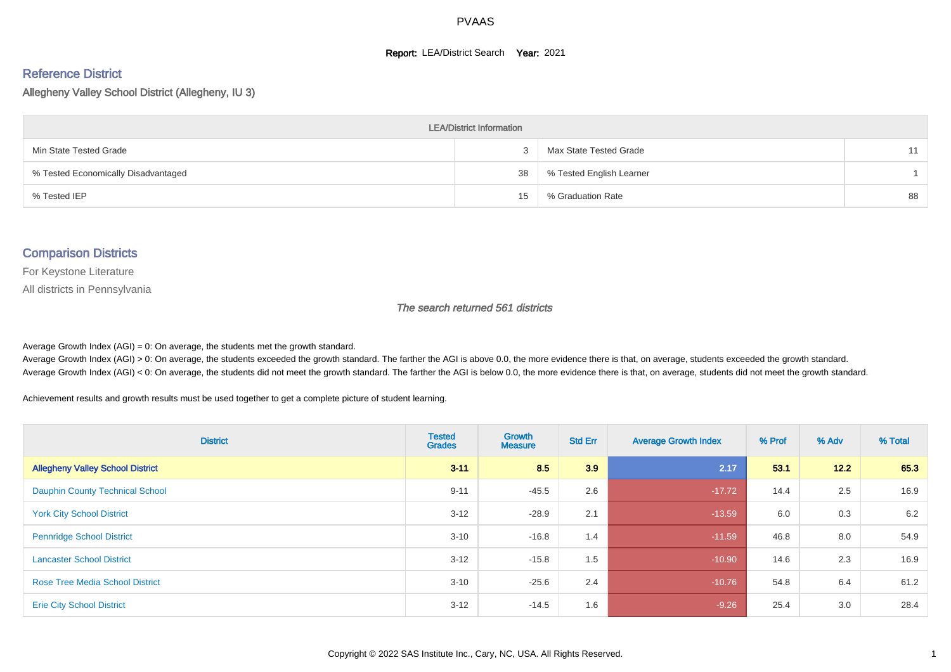#### **Report: LEA/District Search Year: 2021**

#### Reference District

Allegheny Valley School District (Allegheny, IU 3)

| <b>LEA/District Information</b>     |    |                          |    |  |  |  |  |  |  |  |
|-------------------------------------|----|--------------------------|----|--|--|--|--|--|--|--|
| Min State Tested Grade              |    | Max State Tested Grade   | 11 |  |  |  |  |  |  |  |
| % Tested Economically Disadvantaged | 38 | % Tested English Learner |    |  |  |  |  |  |  |  |
| % Tested IEP                        | 15 | % Graduation Rate        | 88 |  |  |  |  |  |  |  |

#### Comparison Districts

For Keystone Literature

All districts in Pennsylvania

The search returned 561 districts

Average Growth Index  $(AGI) = 0$ : On average, the students met the growth standard.

Average Growth Index (AGI) > 0: On average, the students exceeded the growth standard. The farther the AGI is above 0.0, the more evidence there is that, on average, students exceeded the growth standard. Average Growth Index (AGI) < 0: On average, the students did not meet the growth standard. The farther the AGI is below 0.0, the more evidence there is that, on average, students did not meet the growth standard.

Achievement results and growth results must be used together to get a complete picture of student learning.

| <b>District</b>                         | <b>Tested</b><br><b>Grades</b> | <b>Growth</b><br><b>Measure</b> | <b>Std Err</b> | <b>Average Growth Index</b> | % Prof | % Adv | % Total |
|-----------------------------------------|--------------------------------|---------------------------------|----------------|-----------------------------|--------|-------|---------|
| <b>Allegheny Valley School District</b> | $3 - 11$                       | 8.5                             | 3.9            | 2.17                        | 53.1   | 12.2  | 65.3    |
| <b>Dauphin County Technical School</b>  | $9 - 11$                       | $-45.5$                         | 2.6            | $-17.72$                    | 14.4   | 2.5   | 16.9    |
| <b>York City School District</b>        | $3 - 12$                       | $-28.9$                         | 2.1            | $-13.59$                    | 6.0    | 0.3   | 6.2     |
| <b>Pennridge School District</b>        | $3 - 10$                       | $-16.8$                         | 1.4            | $-11.59$                    | 46.8   | 8.0   | 54.9    |
| <b>Lancaster School District</b>        | $3 - 12$                       | $-15.8$                         | 1.5            | $-10.90$                    | 14.6   | 2.3   | 16.9    |
| <b>Rose Tree Media School District</b>  | $3 - 10$                       | $-25.6$                         | 2.4            | $-10.76$                    | 54.8   | 6.4   | 61.2    |
| <b>Erie City School District</b>        | $3-12$                         | $-14.5$                         | 1.6            | $-9.26$                     | 25.4   | 3.0   | 28.4    |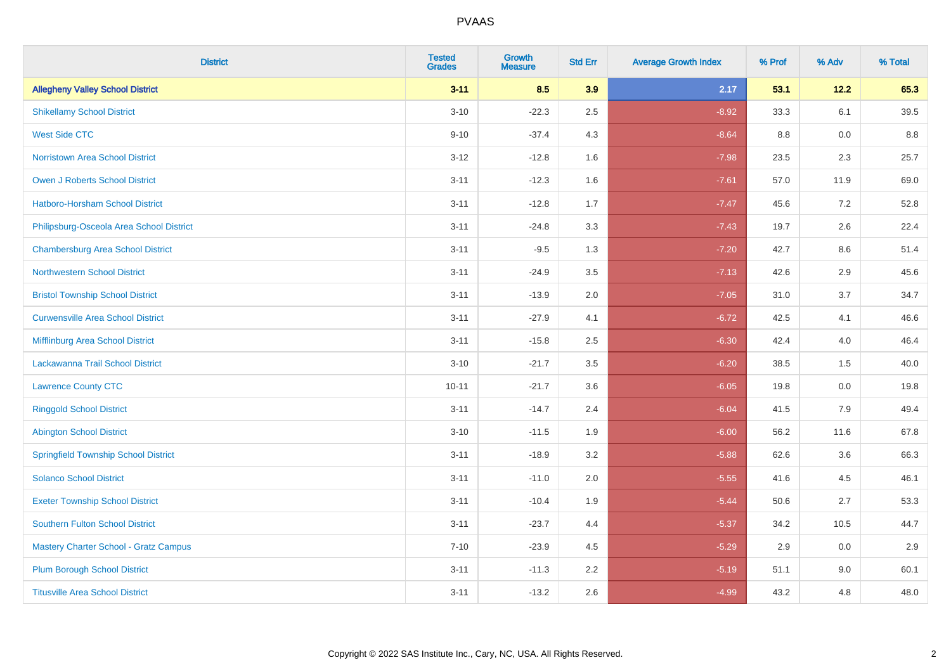| <b>District</b>                              | <b>Tested</b><br><b>Grades</b> | Growth<br><b>Measure</b> | <b>Std Err</b> | <b>Average Growth Index</b> | % Prof | % Adv | % Total |
|----------------------------------------------|--------------------------------|--------------------------|----------------|-----------------------------|--------|-------|---------|
| <b>Allegheny Valley School District</b>      | $3 - 11$                       | 8.5                      | 3.9            | 2.17                        | 53.1   | 12.2  | 65.3    |
| <b>Shikellamy School District</b>            | $3 - 10$                       | $-22.3$                  | 2.5            | $-8.92$                     | 33.3   | 6.1   | 39.5    |
| <b>West Side CTC</b>                         | $9 - 10$                       | $-37.4$                  | 4.3            | $-8.64$                     | 8.8    | 0.0   | 8.8     |
| Norristown Area School District              | $3 - 12$                       | $-12.8$                  | 1.6            | $-7.98$                     | 23.5   | 2.3   | 25.7    |
| <b>Owen J Roberts School District</b>        | $3 - 11$                       | $-12.3$                  | 1.6            | $-7.61$                     | 57.0   | 11.9  | 69.0    |
| Hatboro-Horsham School District              | $3 - 11$                       | $-12.8$                  | 1.7            | $-7.47$                     | 45.6   | 7.2   | 52.8    |
| Philipsburg-Osceola Area School District     | $3 - 11$                       | $-24.8$                  | 3.3            | $-7.43$                     | 19.7   | 2.6   | 22.4    |
| <b>Chambersburg Area School District</b>     | $3 - 11$                       | $-9.5$                   | 1.3            | $-7.20$                     | 42.7   | 8.6   | 51.4    |
| <b>Northwestern School District</b>          | $3 - 11$                       | $-24.9$                  | 3.5            | $-7.13$                     | 42.6   | 2.9   | 45.6    |
| <b>Bristol Township School District</b>      | $3 - 11$                       | $-13.9$                  | 2.0            | $-7.05$                     | 31.0   | 3.7   | 34.7    |
| <b>Curwensville Area School District</b>     | $3 - 11$                       | $-27.9$                  | 4.1            | $-6.72$                     | 42.5   | 4.1   | 46.6    |
| Mifflinburg Area School District             | $3 - 11$                       | $-15.8$                  | 2.5            | $-6.30$                     | 42.4   | 4.0   | 46.4    |
| Lackawanna Trail School District             | $3 - 10$                       | $-21.7$                  | 3.5            | $-6.20$                     | 38.5   | 1.5   | 40.0    |
| <b>Lawrence County CTC</b>                   | $10 - 11$                      | $-21.7$                  | 3.6            | $-6.05$                     | 19.8   | 0.0   | 19.8    |
| <b>Ringgold School District</b>              | $3 - 11$                       | $-14.7$                  | 2.4            | $-6.04$                     | 41.5   | 7.9   | 49.4    |
| <b>Abington School District</b>              | $3 - 10$                       | $-11.5$                  | 1.9            | $-6.00$                     | 56.2   | 11.6  | 67.8    |
| <b>Springfield Township School District</b>  | $3 - 11$                       | $-18.9$                  | 3.2            | $-5.88$                     | 62.6   | 3.6   | 66.3    |
| <b>Solanco School District</b>               | $3 - 11$                       | $-11.0$                  | 2.0            | $-5.55$                     | 41.6   | 4.5   | 46.1    |
| <b>Exeter Township School District</b>       | $3 - 11$                       | $-10.4$                  | 1.9            | $-5.44$                     | 50.6   | 2.7   | 53.3    |
| <b>Southern Fulton School District</b>       | $3 - 11$                       | $-23.7$                  | 4.4            | $-5.37$                     | 34.2   | 10.5  | 44.7    |
| <b>Mastery Charter School - Gratz Campus</b> | $7 - 10$                       | $-23.9$                  | 4.5            | $-5.29$                     | 2.9    | 0.0   | 2.9     |
| <b>Plum Borough School District</b>          | $3 - 11$                       | $-11.3$                  | 2.2            | $-5.19$                     | 51.1   | 9.0   | 60.1    |
| <b>Titusville Area School District</b>       | $3 - 11$                       | $-13.2$                  | 2.6            | $-4.99$                     | 43.2   | 4.8   | 48.0    |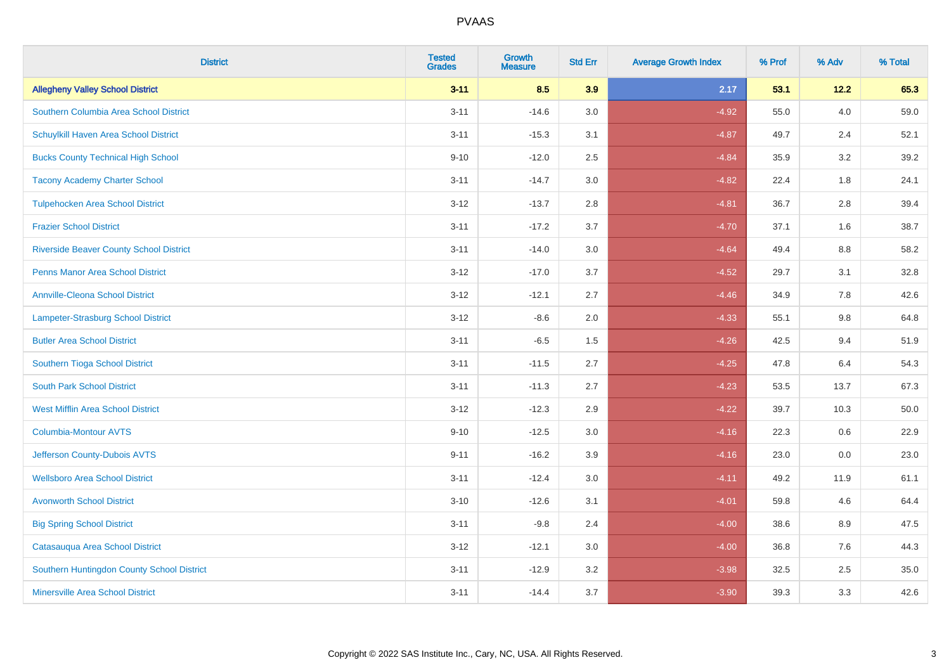| <b>District</b>                                | <b>Tested</b><br><b>Grades</b> | <b>Growth</b><br><b>Measure</b> | <b>Std Err</b> | <b>Average Growth Index</b> | % Prof | % Adv   | % Total |
|------------------------------------------------|--------------------------------|---------------------------------|----------------|-----------------------------|--------|---------|---------|
| <b>Allegheny Valley School District</b>        | $3 - 11$                       | 8.5                             | 3.9            | 2.17                        | 53.1   | 12.2    | 65.3    |
| Southern Columbia Area School District         | $3 - 11$                       | $-14.6$                         | 3.0            | $-4.92$                     | 55.0   | 4.0     | 59.0    |
| Schuylkill Haven Area School District          | $3 - 11$                       | $-15.3$                         | 3.1            | $-4.87$                     | 49.7   | 2.4     | 52.1    |
| <b>Bucks County Technical High School</b>      | $9 - 10$                       | $-12.0$                         | 2.5            | $-4.84$                     | 35.9   | 3.2     | 39.2    |
| <b>Tacony Academy Charter School</b>           | $3 - 11$                       | $-14.7$                         | 3.0            | $-4.82$                     | 22.4   | 1.8     | 24.1    |
| <b>Tulpehocken Area School District</b>        | $3 - 12$                       | $-13.7$                         | 2.8            | $-4.81$                     | 36.7   | 2.8     | 39.4    |
| <b>Frazier School District</b>                 | $3 - 11$                       | $-17.2$                         | 3.7            | $-4.70$                     | 37.1   | 1.6     | 38.7    |
| <b>Riverside Beaver County School District</b> | $3 - 11$                       | $-14.0$                         | 3.0            | $-4.64$                     | 49.4   | 8.8     | 58.2    |
| <b>Penns Manor Area School District</b>        | $3 - 12$                       | $-17.0$                         | 3.7            | $-4.52$                     | 29.7   | 3.1     | 32.8    |
| <b>Annville-Cleona School District</b>         | $3 - 12$                       | $-12.1$                         | 2.7            | $-4.46$                     | 34.9   | 7.8     | 42.6    |
| Lampeter-Strasburg School District             | $3 - 12$                       | $-8.6$                          | 2.0            | $-4.33$                     | 55.1   | 9.8     | 64.8    |
| <b>Butler Area School District</b>             | $3 - 11$                       | $-6.5$                          | 1.5            | $-4.26$                     | 42.5   | 9.4     | 51.9    |
| Southern Tioga School District                 | $3 - 11$                       | $-11.5$                         | 2.7            | $-4.25$                     | 47.8   | 6.4     | 54.3    |
| <b>South Park School District</b>              | $3 - 11$                       | $-11.3$                         | 2.7            | $-4.23$                     | 53.5   | 13.7    | 67.3    |
| <b>West Mifflin Area School District</b>       | $3 - 12$                       | $-12.3$                         | 2.9            | $-4.22$                     | 39.7   | 10.3    | 50.0    |
| <b>Columbia-Montour AVTS</b>                   | $9 - 10$                       | $-12.5$                         | 3.0            | $-4.16$                     | 22.3   | $0.6\,$ | 22.9    |
| Jefferson County-Dubois AVTS                   | $9 - 11$                       | $-16.2$                         | 3.9            | $-4.16$                     | 23.0   | 0.0     | 23.0    |
| <b>Wellsboro Area School District</b>          | $3 - 11$                       | $-12.4$                         | 3.0            | $-4.11$                     | 49.2   | 11.9    | 61.1    |
| <b>Avonworth School District</b>               | $3 - 10$                       | $-12.6$                         | 3.1            | $-4.01$                     | 59.8   | 4.6     | 64.4    |
| <b>Big Spring School District</b>              | $3 - 11$                       | $-9.8$                          | 2.4            | $-4.00$                     | 38.6   | 8.9     | 47.5    |
| Catasauqua Area School District                | $3 - 12$                       | $-12.1$                         | 3.0            | $-4.00$                     | 36.8   | 7.6     | 44.3    |
| Southern Huntingdon County School District     | $3 - 11$                       | $-12.9$                         | 3.2            | $-3.98$                     | 32.5   | 2.5     | 35.0    |
| <b>Minersville Area School District</b>        | $3 - 11$                       | $-14.4$                         | 3.7            | $-3.90$                     | 39.3   | 3.3     | 42.6    |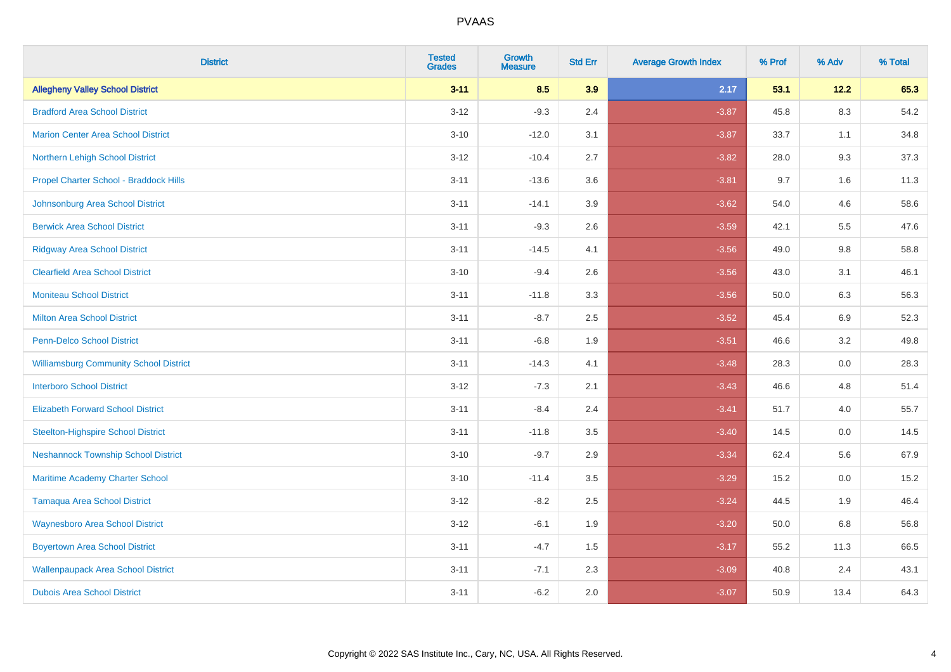| <b>District</b>                               | <b>Tested</b><br><b>Grades</b> | <b>Growth</b><br><b>Measure</b> | <b>Std Err</b> | <b>Average Growth Index</b> | % Prof | % Adv   | % Total |
|-----------------------------------------------|--------------------------------|---------------------------------|----------------|-----------------------------|--------|---------|---------|
| <b>Allegheny Valley School District</b>       | $3 - 11$                       | 8.5                             | 3.9            | 2.17                        | 53.1   | 12.2    | 65.3    |
| <b>Bradford Area School District</b>          | $3 - 12$                       | $-9.3$                          | 2.4            | $-3.87$                     | 45.8   | $8.3\,$ | 54.2    |
| <b>Marion Center Area School District</b>     | $3 - 10$                       | $-12.0$                         | 3.1            | $-3.87$                     | 33.7   | 1.1     | 34.8    |
| Northern Lehigh School District               | $3 - 12$                       | $-10.4$                         | 2.7            | $-3.82$                     | 28.0   | 9.3     | 37.3    |
| Propel Charter School - Braddock Hills        | $3 - 11$                       | $-13.6$                         | 3.6            | $-3.81$                     | 9.7    | 1.6     | 11.3    |
| Johnsonburg Area School District              | $3 - 11$                       | $-14.1$                         | 3.9            | $-3.62$                     | 54.0   | 4.6     | 58.6    |
| <b>Berwick Area School District</b>           | $3 - 11$                       | $-9.3$                          | 2.6            | $-3.59$                     | 42.1   | 5.5     | 47.6    |
| <b>Ridgway Area School District</b>           | $3 - 11$                       | $-14.5$                         | 4.1            | $-3.56$                     | 49.0   | 9.8     | 58.8    |
| <b>Clearfield Area School District</b>        | $3 - 10$                       | $-9.4$                          | 2.6            | $-3.56$                     | 43.0   | 3.1     | 46.1    |
| <b>Moniteau School District</b>               | $3 - 11$                       | $-11.8$                         | 3.3            | $-3.56$                     | 50.0   | 6.3     | 56.3    |
| <b>Milton Area School District</b>            | $3 - 11$                       | $-8.7$                          | 2.5            | $-3.52$                     | 45.4   | 6.9     | 52.3    |
| <b>Penn-Delco School District</b>             | $3 - 11$                       | $-6.8$                          | 1.9            | $-3.51$                     | 46.6   | 3.2     | 49.8    |
| <b>Williamsburg Community School District</b> | $3 - 11$                       | $-14.3$                         | 4.1            | $-3.48$                     | 28.3   | $0.0\,$ | 28.3    |
| <b>Interboro School District</b>              | $3 - 12$                       | $-7.3$                          | 2.1            | $-3.43$                     | 46.6   | 4.8     | 51.4    |
| <b>Elizabeth Forward School District</b>      | $3 - 11$                       | $-8.4$                          | 2.4            | $-3.41$                     | 51.7   | 4.0     | 55.7    |
| <b>Steelton-Highspire School District</b>     | $3 - 11$                       | $-11.8$                         | 3.5            | $-3.40$                     | 14.5   | $0.0\,$ | 14.5    |
| <b>Neshannock Township School District</b>    | $3 - 10$                       | $-9.7$                          | 2.9            | $-3.34$                     | 62.4   | 5.6     | 67.9    |
| Maritime Academy Charter School               | $3 - 10$                       | $-11.4$                         | 3.5            | $-3.29$                     | 15.2   | 0.0     | 15.2    |
| <b>Tamaqua Area School District</b>           | $3 - 12$                       | $-8.2$                          | 2.5            | $-3.24$                     | 44.5   | 1.9     | 46.4    |
| <b>Waynesboro Area School District</b>        | $3 - 12$                       | $-6.1$                          | 1.9            | $-3.20$                     | 50.0   | 6.8     | 56.8    |
| <b>Boyertown Area School District</b>         | $3 - 11$                       | $-4.7$                          | 1.5            | $-3.17$                     | 55.2   | 11.3    | 66.5    |
| <b>Wallenpaupack Area School District</b>     | $3 - 11$                       | $-7.1$                          | 2.3            | $-3.09$                     | 40.8   | 2.4     | 43.1    |
| <b>Dubois Area School District</b>            | $3 - 11$                       | $-6.2$                          | 2.0            | $-3.07$                     | 50.9   | 13.4    | 64.3    |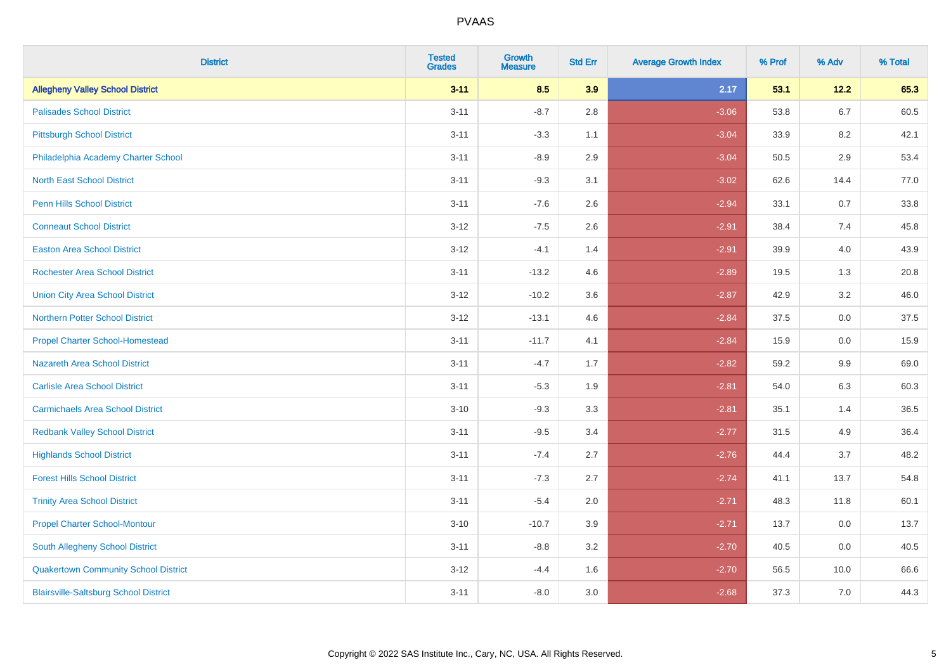| <b>District</b>                              | <b>Tested</b><br><b>Grades</b> | <b>Growth</b><br><b>Measure</b> | <b>Std Err</b> | <b>Average Growth Index</b> | % Prof | % Adv   | % Total |
|----------------------------------------------|--------------------------------|---------------------------------|----------------|-----------------------------|--------|---------|---------|
| <b>Allegheny Valley School District</b>      | $3 - 11$                       | 8.5                             | 3.9            | 2.17                        | 53.1   | 12.2    | 65.3    |
| <b>Palisades School District</b>             | $3 - 11$                       | $-8.7$                          | 2.8            | $-3.06$                     | 53.8   | 6.7     | 60.5    |
| <b>Pittsburgh School District</b>            | $3 - 11$                       | $-3.3$                          | 1.1            | $-3.04$                     | 33.9   | 8.2     | 42.1    |
| Philadelphia Academy Charter School          | $3 - 11$                       | $-8.9$                          | 2.9            | $-3.04$                     | 50.5   | $2.9\,$ | 53.4    |
| <b>North East School District</b>            | $3 - 11$                       | $-9.3$                          | 3.1            | $-3.02$                     | 62.6   | 14.4    | 77.0    |
| <b>Penn Hills School District</b>            | $3 - 11$                       | $-7.6$                          | 2.6            | $-2.94$                     | 33.1   | 0.7     | 33.8    |
| <b>Conneaut School District</b>              | $3 - 12$                       | $-7.5$                          | 2.6            | $-2.91$                     | 38.4   | 7.4     | 45.8    |
| <b>Easton Area School District</b>           | $3 - 12$                       | $-4.1$                          | 1.4            | $-2.91$                     | 39.9   | 4.0     | 43.9    |
| <b>Rochester Area School District</b>        | $3 - 11$                       | $-13.2$                         | 4.6            | $-2.89$                     | 19.5   | 1.3     | 20.8    |
| <b>Union City Area School District</b>       | $3 - 12$                       | $-10.2$                         | 3.6            | $-2.87$                     | 42.9   | $3.2\,$ | 46.0    |
| <b>Northern Potter School District</b>       | $3 - 12$                       | $-13.1$                         | 4.6            | $-2.84$                     | 37.5   | 0.0     | 37.5    |
| <b>Propel Charter School-Homestead</b>       | $3 - 11$                       | $-11.7$                         | 4.1            | $-2.84$                     | 15.9   | 0.0     | 15.9    |
| <b>Nazareth Area School District</b>         | $3 - 11$                       | $-4.7$                          | 1.7            | $-2.82$                     | 59.2   | 9.9     | 69.0    |
| <b>Carlisle Area School District</b>         | $3 - 11$                       | $-5.3$                          | 1.9            | $-2.81$                     | 54.0   | 6.3     | 60.3    |
| <b>Carmichaels Area School District</b>      | $3 - 10$                       | $-9.3$                          | 3.3            | $-2.81$                     | 35.1   | 1.4     | 36.5    |
| <b>Redbank Valley School District</b>        | $3 - 11$                       | $-9.5$                          | 3.4            | $-2.77$                     | 31.5   | 4.9     | 36.4    |
| <b>Highlands School District</b>             | $3 - 11$                       | $-7.4$                          | 2.7            | $-2.76$                     | 44.4   | 3.7     | 48.2    |
| <b>Forest Hills School District</b>          | $3 - 11$                       | $-7.3$                          | 2.7            | $-2.74$                     | 41.1   | 13.7    | 54.8    |
| <b>Trinity Area School District</b>          | $3 - 11$                       | $-5.4$                          | 2.0            | $-2.71$                     | 48.3   | 11.8    | 60.1    |
| <b>Propel Charter School-Montour</b>         | $3 - 10$                       | $-10.7$                         | 3.9            | $-2.71$                     | 13.7   | $0.0\,$ | 13.7    |
| South Allegheny School District              | $3 - 11$                       | $-8.8$                          | 3.2            | $-2.70$                     | 40.5   | 0.0     | 40.5    |
| <b>Quakertown Community School District</b>  | $3 - 12$                       | $-4.4$                          | 1.6            | $-2.70$                     | 56.5   | 10.0    | 66.6    |
| <b>Blairsville-Saltsburg School District</b> | $3 - 11$                       | $-8.0$                          | 3.0            | $-2.68$                     | 37.3   | 7.0     | 44.3    |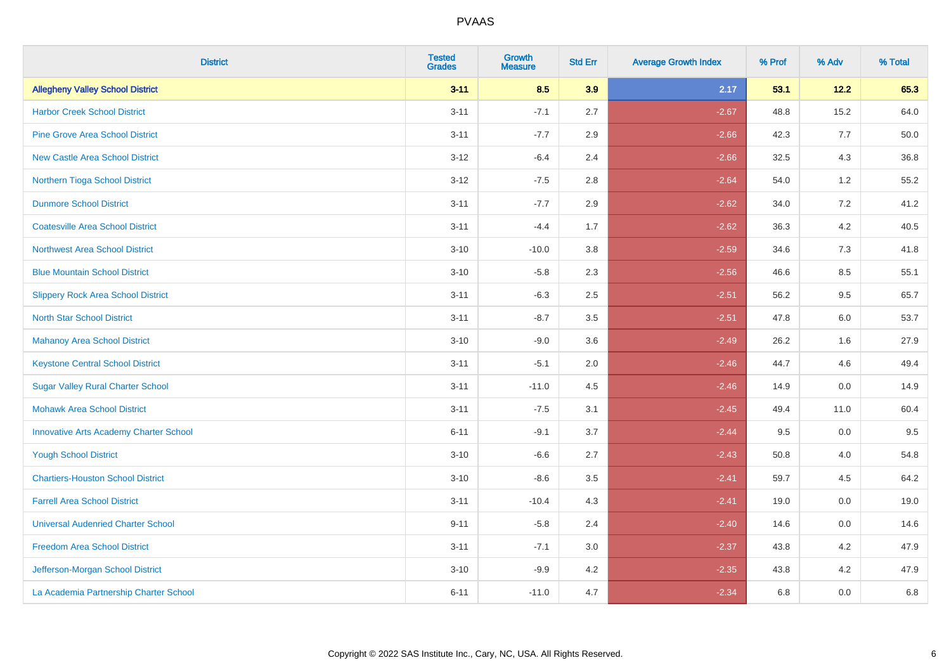| <b>District</b>                               | <b>Tested</b><br><b>Grades</b> | Growth<br><b>Measure</b> | <b>Std Err</b> | <b>Average Growth Index</b> | % Prof | % Adv   | % Total |
|-----------------------------------------------|--------------------------------|--------------------------|----------------|-----------------------------|--------|---------|---------|
| <b>Allegheny Valley School District</b>       | $3 - 11$                       | 8.5                      | 3.9            | 2.17                        | 53.1   | 12.2    | 65.3    |
| <b>Harbor Creek School District</b>           | $3 - 11$                       | $-7.1$                   | 2.7            | $-2.67$                     | 48.8   | 15.2    | 64.0    |
| <b>Pine Grove Area School District</b>        | $3 - 11$                       | $-7.7$                   | 2.9            | $-2.66$                     | 42.3   | 7.7     | 50.0    |
| <b>New Castle Area School District</b>        | $3-12$                         | $-6.4$                   | 2.4            | $-2.66$                     | 32.5   | $4.3$   | 36.8    |
| Northern Tioga School District                | $3 - 12$                       | $-7.5$                   | 2.8            | $-2.64$                     | 54.0   | 1.2     | 55.2    |
| <b>Dunmore School District</b>                | $3 - 11$                       | $-7.7$                   | 2.9            | $-2.62$                     | 34.0   | 7.2     | 41.2    |
| <b>Coatesville Area School District</b>       | $3 - 11$                       | $-4.4$                   | 1.7            | $-2.62$                     | 36.3   | $4.2\,$ | 40.5    |
| <b>Northwest Area School District</b>         | $3 - 10$                       | $-10.0$                  | 3.8            | $-2.59$                     | 34.6   | 7.3     | 41.8    |
| <b>Blue Mountain School District</b>          | $3 - 10$                       | $-5.8$                   | 2.3            | $-2.56$                     | 46.6   | 8.5     | 55.1    |
| <b>Slippery Rock Area School District</b>     | $3 - 11$                       | $-6.3$                   | 2.5            | $-2.51$                     | 56.2   | $9.5\,$ | 65.7    |
| <b>North Star School District</b>             | $3 - 11$                       | $-8.7$                   | 3.5            | $-2.51$                     | 47.8   | 6.0     | 53.7    |
| <b>Mahanoy Area School District</b>           | $3 - 10$                       | $-9.0$                   | 3.6            | $-2.49$                     | 26.2   | 1.6     | 27.9    |
| <b>Keystone Central School District</b>       | $3 - 11$                       | $-5.1$                   | 2.0            | $-2.46$                     | 44.7   | 4.6     | 49.4    |
| <b>Sugar Valley Rural Charter School</b>      | $3 - 11$                       | $-11.0$                  | 4.5            | $-2.46$                     | 14.9   | $0.0\,$ | 14.9    |
| <b>Mohawk Area School District</b>            | $3 - 11$                       | $-7.5$                   | 3.1            | $-2.45$                     | 49.4   | 11.0    | 60.4    |
| <b>Innovative Arts Academy Charter School</b> | $6 - 11$                       | $-9.1$                   | 3.7            | $-2.44$                     | 9.5    | 0.0     | 9.5     |
| <b>Yough School District</b>                  | $3 - 10$                       | $-6.6$                   | 2.7            | $-2.43$                     | 50.8   | 4.0     | 54.8    |
| <b>Chartiers-Houston School District</b>      | $3 - 10$                       | $-8.6$                   | 3.5            | $-2.41$                     | 59.7   | 4.5     | 64.2    |
| <b>Farrell Area School District</b>           | $3 - 11$                       | $-10.4$                  | 4.3            | $-2.41$                     | 19.0   | 0.0     | 19.0    |
| <b>Universal Audenried Charter School</b>     | $9 - 11$                       | $-5.8$                   | 2.4            | $-2.40$                     | 14.6   | 0.0     | 14.6    |
| <b>Freedom Area School District</b>           | $3 - 11$                       | $-7.1$                   | 3.0            | $-2.37$                     | 43.8   | 4.2     | 47.9    |
| Jefferson-Morgan School District              | $3 - 10$                       | $-9.9$                   | 4.2            | $-2.35$                     | 43.8   | 4.2     | 47.9    |
| La Academia Partnership Charter School        | $6 - 11$                       | $-11.0$                  | 4.7            | $-2.34$                     | 6.8    | 0.0     | 6.8     |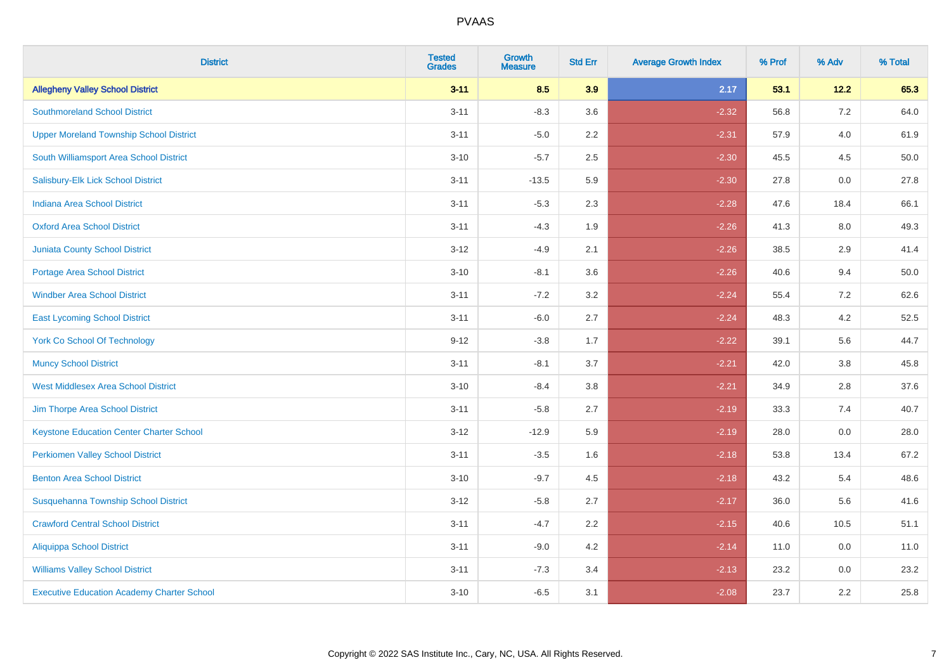| <b>District</b>                                   | <b>Tested</b><br><b>Grades</b> | <b>Growth</b><br><b>Measure</b> | <b>Std Err</b> | <b>Average Growth Index</b> | % Prof | % Adv   | % Total |
|---------------------------------------------------|--------------------------------|---------------------------------|----------------|-----------------------------|--------|---------|---------|
| <b>Allegheny Valley School District</b>           | $3 - 11$                       | 8.5                             | 3.9            | 2.17                        | 53.1   | $12.2$  | 65.3    |
| <b>Southmoreland School District</b>              | $3 - 11$                       | $-8.3$                          | 3.6            | $-2.32$                     | 56.8   | $7.2\,$ | 64.0    |
| <b>Upper Moreland Township School District</b>    | $3 - 11$                       | $-5.0$                          | 2.2            | $-2.31$                     | 57.9   | 4.0     | 61.9    |
| South Williamsport Area School District           | $3 - 10$                       | $-5.7$                          | 2.5            | $-2.30$                     | 45.5   | 4.5     | 50.0    |
| Salisbury-Elk Lick School District                | $3 - 11$                       | $-13.5$                         | 5.9            | $-2.30$                     | 27.8   | 0.0     | 27.8    |
| Indiana Area School District                      | $3 - 11$                       | $-5.3$                          | 2.3            | $-2.28$                     | 47.6   | 18.4    | 66.1    |
| <b>Oxford Area School District</b>                | $3 - 11$                       | $-4.3$                          | 1.9            | $-2.26$                     | 41.3   | 8.0     | 49.3    |
| <b>Juniata County School District</b>             | $3 - 12$                       | $-4.9$                          | 2.1            | $-2.26$                     | 38.5   | 2.9     | 41.4    |
| <b>Portage Area School District</b>               | $3 - 10$                       | $-8.1$                          | 3.6            | $-2.26$                     | 40.6   | 9.4     | 50.0    |
| <b>Windber Area School District</b>               | $3 - 11$                       | $-7.2$                          | 3.2            | $-2.24$                     | 55.4   | 7.2     | 62.6    |
| <b>East Lycoming School District</b>              | $3 - 11$                       | $-6.0$                          | 2.7            | $-2.24$                     | 48.3   | 4.2     | 52.5    |
| <b>York Co School Of Technology</b>               | $9 - 12$                       | $-3.8$                          | 1.7            | $-2.22$                     | 39.1   | 5.6     | 44.7    |
| <b>Muncy School District</b>                      | $3 - 11$                       | $-8.1$                          | 3.7            | $-2.21$                     | 42.0   | 3.8     | 45.8    |
| <b>West Middlesex Area School District</b>        | $3 - 10$                       | $-8.4$                          | 3.8            | $-2.21$                     | 34.9   | 2.8     | 37.6    |
| Jim Thorpe Area School District                   | $3 - 11$                       | $-5.8$                          | 2.7            | $-2.19$                     | 33.3   | 7.4     | 40.7    |
| <b>Keystone Education Center Charter School</b>   | $3 - 12$                       | $-12.9$                         | 5.9            | $-2.19$                     | 28.0   | 0.0     | 28.0    |
| <b>Perkiomen Valley School District</b>           | $3 - 11$                       | $-3.5$                          | 1.6            | $-2.18$                     | 53.8   | 13.4    | 67.2    |
| <b>Benton Area School District</b>                | $3 - 10$                       | $-9.7$                          | 4.5            | $-2.18$                     | 43.2   | 5.4     | 48.6    |
| Susquehanna Township School District              | $3 - 12$                       | $-5.8$                          | 2.7            | $-2.17$                     | 36.0   | 5.6     | 41.6    |
| <b>Crawford Central School District</b>           | $3 - 11$                       | $-4.7$                          | 2.2            | $-2.15$                     | 40.6   | 10.5    | 51.1    |
| <b>Aliquippa School District</b>                  | $3 - 11$                       | $-9.0$                          | 4.2            | $-2.14$                     | 11.0   | 0.0     | 11.0    |
| <b>Williams Valley School District</b>            | $3 - 11$                       | $-7.3$                          | 3.4            | $-2.13$                     | 23.2   | 0.0     | 23.2    |
| <b>Executive Education Academy Charter School</b> | $3 - 10$                       | $-6.5$                          | 3.1            | $-2.08$                     | 23.7   | 2.2     | 25.8    |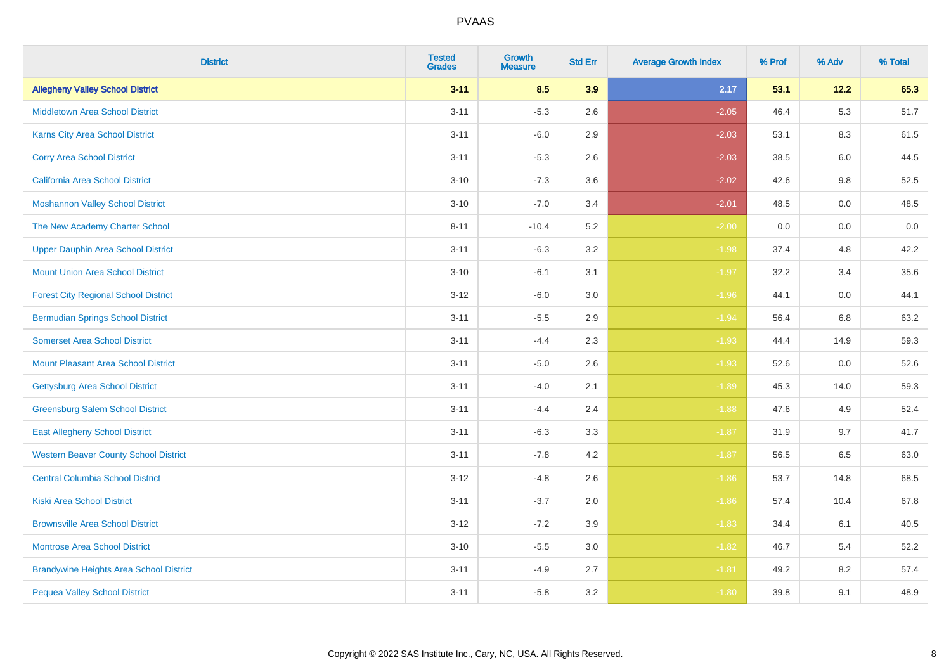| <b>District</b>                                | <b>Tested</b><br><b>Grades</b> | <b>Growth</b><br><b>Measure</b> | <b>Std Err</b> | <b>Average Growth Index</b> | % Prof | % Adv   | % Total |
|------------------------------------------------|--------------------------------|---------------------------------|----------------|-----------------------------|--------|---------|---------|
| <b>Allegheny Valley School District</b>        | $3 - 11$                       | 8.5                             | 3.9            | 2.17                        | 53.1   | 12.2    | 65.3    |
| <b>Middletown Area School District</b>         | $3 - 11$                       | $-5.3$                          | 2.6            | $-2.05$                     | 46.4   | 5.3     | 51.7    |
| Karns City Area School District                | $3 - 11$                       | $-6.0$                          | 2.9            | $-2.03$                     | 53.1   | 8.3     | 61.5    |
| <b>Corry Area School District</b>              | $3 - 11$                       | $-5.3$                          | 2.6            | $-2.03$                     | 38.5   | 6.0     | 44.5    |
| California Area School District                | $3 - 10$                       | $-7.3$                          | 3.6            | $-2.02$                     | 42.6   | 9.8     | 52.5    |
| <b>Moshannon Valley School District</b>        | $3 - 10$                       | $-7.0$                          | 3.4            | $-2.01$                     | 48.5   | 0.0     | 48.5    |
| The New Academy Charter School                 | $8 - 11$                       | $-10.4$                         | 5.2            | $-2.00$                     | 0.0    | 0.0     | 0.0     |
| <b>Upper Dauphin Area School District</b>      | $3 - 11$                       | $-6.3$                          | 3.2            | $-1.98$                     | 37.4   | 4.8     | 42.2    |
| <b>Mount Union Area School District</b>        | $3 - 10$                       | $-6.1$                          | 3.1            | $-1.97$                     | 32.2   | 3.4     | 35.6    |
| <b>Forest City Regional School District</b>    | $3 - 12$                       | $-6.0$                          | $3.0\,$        | $-1.96$                     | 44.1   | 0.0     | 44.1    |
| <b>Bermudian Springs School District</b>       | $3 - 11$                       | $-5.5$                          | 2.9            | $-1.94$                     | 56.4   | 6.8     | 63.2    |
| <b>Somerset Area School District</b>           | $3 - 11$                       | $-4.4$                          | 2.3            | $-1.93$                     | 44.4   | 14.9    | 59.3    |
| <b>Mount Pleasant Area School District</b>     | $3 - 11$                       | $-5.0$                          | 2.6            | $-1.93$                     | 52.6   | $0.0\,$ | 52.6    |
| <b>Gettysburg Area School District</b>         | $3 - 11$                       | $-4.0$                          | 2.1            | $-1.89$                     | 45.3   | 14.0    | 59.3    |
| <b>Greensburg Salem School District</b>        | $3 - 11$                       | $-4.4$                          | 2.4            | $-1.88$                     | 47.6   | 4.9     | 52.4    |
| <b>East Allegheny School District</b>          | $3 - 11$                       | $-6.3$                          | 3.3            | $-1.87$                     | 31.9   | 9.7     | 41.7    |
| <b>Western Beaver County School District</b>   | $3 - 11$                       | $-7.8$                          | 4.2            | $-1.87$                     | 56.5   | 6.5     | 63.0    |
| <b>Central Columbia School District</b>        | $3 - 12$                       | $-4.8$                          | 2.6            | $-1.86$                     | 53.7   | 14.8    | 68.5    |
| <b>Kiski Area School District</b>              | $3 - 11$                       | $-3.7$                          | 2.0            | $-1.86$                     | 57.4   | 10.4    | 67.8    |
| <b>Brownsville Area School District</b>        | $3-12$                         | $-7.2$                          | 3.9            | $-1.83$                     | 34.4   | 6.1     | 40.5    |
| Montrose Area School District                  | $3 - 10$                       | $-5.5$                          | $3.0\,$        | $-1.82$                     | 46.7   | 5.4     | 52.2    |
| <b>Brandywine Heights Area School District</b> | $3 - 11$                       | $-4.9$                          | 2.7            | $-1.81$                     | 49.2   | 8.2     | 57.4    |
| <b>Pequea Valley School District</b>           | $3 - 11$                       | $-5.8$                          | 3.2            | $-1.80$                     | 39.8   | 9.1     | 48.9    |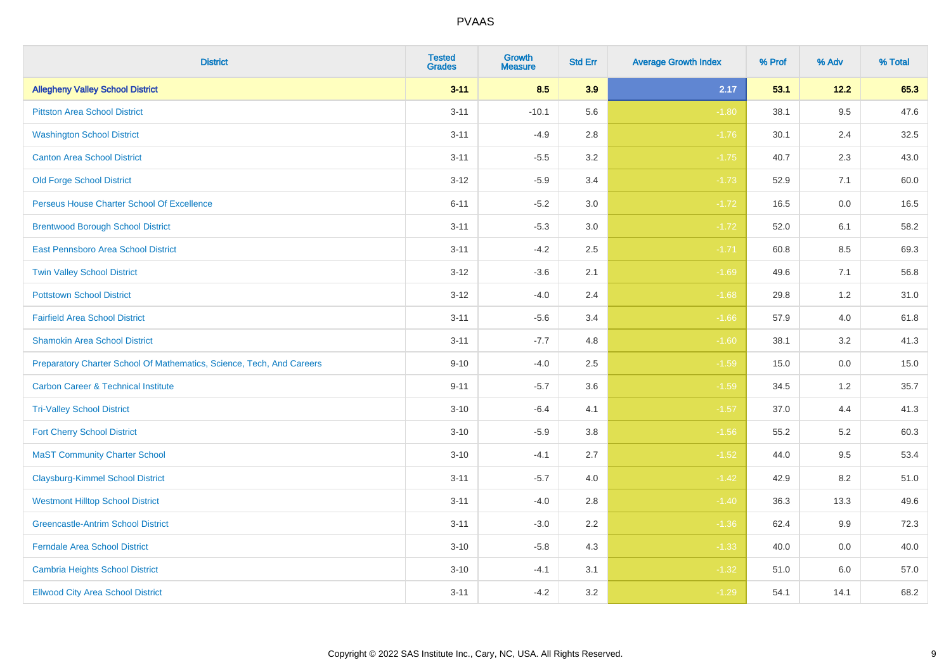| <b>District</b>                                                       | <b>Tested</b><br><b>Grades</b> | <b>Growth</b><br><b>Measure</b> | <b>Std Err</b> | <b>Average Growth Index</b> | % Prof | % Adv | % Total |
|-----------------------------------------------------------------------|--------------------------------|---------------------------------|----------------|-----------------------------|--------|-------|---------|
| <b>Allegheny Valley School District</b>                               | $3 - 11$                       | 8.5                             | 3.9            | 2.17                        | 53.1   | 12.2  | 65.3    |
| <b>Pittston Area School District</b>                                  | $3 - 11$                       | $-10.1$                         | 5.6            | $-1.80$                     | 38.1   | 9.5   | 47.6    |
| <b>Washington School District</b>                                     | $3 - 11$                       | $-4.9$                          | 2.8            | $-1.76$                     | 30.1   | 2.4   | 32.5    |
| <b>Canton Area School District</b>                                    | $3 - 11$                       | $-5.5$                          | $3.2\,$        | $-1.75$                     | 40.7   | 2.3   | 43.0    |
| <b>Old Forge School District</b>                                      | $3 - 12$                       | $-5.9$                          | 3.4            | $-1.73$                     | 52.9   | 7.1   | 60.0    |
| Perseus House Charter School Of Excellence                            | $6 - 11$                       | $-5.2$                          | 3.0            | $-1.72$                     | 16.5   | 0.0   | 16.5    |
| <b>Brentwood Borough School District</b>                              | $3 - 11$                       | $-5.3$                          | $3.0\,$        | $-1.72$                     | 52.0   | 6.1   | 58.2    |
| East Pennsboro Area School District                                   | $3 - 11$                       | $-4.2$                          | 2.5            | $-1.71$                     | 60.8   | 8.5   | 69.3    |
| <b>Twin Valley School District</b>                                    | $3 - 12$                       | $-3.6$                          | 2.1            | $-1.69$                     | 49.6   | 7.1   | 56.8    |
| <b>Pottstown School District</b>                                      | $3 - 12$                       | $-4.0$                          | 2.4            | $-1.68$                     | 29.8   | 1.2   | 31.0    |
| <b>Fairfield Area School District</b>                                 | $3 - 11$                       | $-5.6$                          | 3.4            | $-1.66$                     | 57.9   | 4.0   | 61.8    |
| <b>Shamokin Area School District</b>                                  | $3 - 11$                       | $-7.7$                          | 4.8            | $-1.60$                     | 38.1   | 3.2   | 41.3    |
| Preparatory Charter School Of Mathematics, Science, Tech, And Careers | $9 - 10$                       | $-4.0$                          | 2.5            | $-1.59$                     | 15.0   | 0.0   | 15.0    |
| <b>Carbon Career &amp; Technical Institute</b>                        | $9 - 11$                       | $-5.7$                          | 3.6            | $-1.59$                     | 34.5   | 1.2   | 35.7    |
| <b>Tri-Valley School District</b>                                     | $3 - 10$                       | $-6.4$                          | 4.1            | $-1.57$                     | 37.0   | 4.4   | 41.3    |
| <b>Fort Cherry School District</b>                                    | $3 - 10$                       | $-5.9$                          | 3.8            | $-1.56$                     | 55.2   | 5.2   | 60.3    |
| <b>MaST Community Charter School</b>                                  | $3 - 10$                       | $-4.1$                          | 2.7            | $-1.52$                     | 44.0   | 9.5   | 53.4    |
| <b>Claysburg-Kimmel School District</b>                               | $3 - 11$                       | $-5.7$                          | 4.0            | $-1.42$                     | 42.9   | 8.2   | 51.0    |
| <b>Westmont Hilltop School District</b>                               | $3 - 11$                       | $-4.0$                          | 2.8            | $-1.40$                     | 36.3   | 13.3  | 49.6    |
| <b>Greencastle-Antrim School District</b>                             | $3 - 11$                       | $-3.0$                          | 2.2            | $-1.36$                     | 62.4   | 9.9   | 72.3    |
| <b>Ferndale Area School District</b>                                  | $3 - 10$                       | $-5.8$                          | 4.3            | $-1.33$                     | 40.0   | 0.0   | 40.0    |
| <b>Cambria Heights School District</b>                                | $3 - 10$                       | $-4.1$                          | 3.1            | $-1.32$                     | 51.0   | 6.0   | 57.0    |
| <b>Ellwood City Area School District</b>                              | $3 - 11$                       | $-4.2$                          | 3.2            | $-1.29$                     | 54.1   | 14.1  | 68.2    |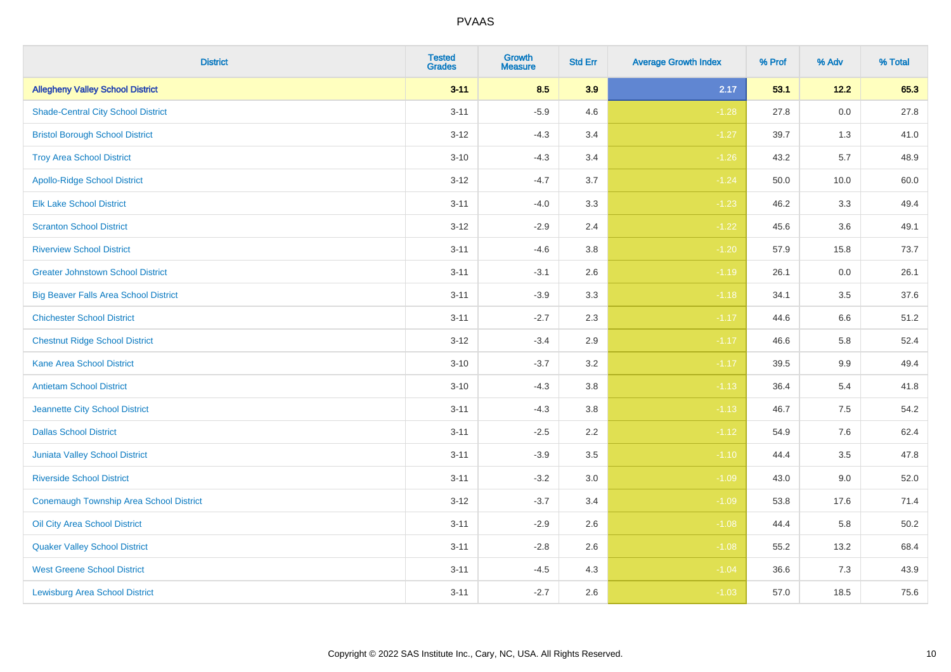| <b>District</b>                              | <b>Tested</b><br><b>Grades</b> | <b>Growth</b><br><b>Measure</b> | <b>Std Err</b> | <b>Average Growth Index</b> | % Prof | % Adv   | % Total |
|----------------------------------------------|--------------------------------|---------------------------------|----------------|-----------------------------|--------|---------|---------|
| <b>Allegheny Valley School District</b>      | $3 - 11$                       | 8.5                             | 3.9            | 2.17                        | 53.1   | 12.2    | 65.3    |
| <b>Shade-Central City School District</b>    | $3 - 11$                       | $-5.9$                          | 4.6            | $-1.28$                     | 27.8   | $0.0\,$ | 27.8    |
| <b>Bristol Borough School District</b>       | $3 - 12$                       | $-4.3$                          | 3.4            | $-1.27$                     | 39.7   | 1.3     | 41.0    |
| <b>Troy Area School District</b>             | $3 - 10$                       | $-4.3$                          | 3.4            | $-1.26$                     | 43.2   | 5.7     | 48.9    |
| <b>Apollo-Ridge School District</b>          | $3 - 12$                       | $-4.7$                          | 3.7            | $-1.24$                     | 50.0   | 10.0    | 60.0    |
| <b>Elk Lake School District</b>              | $3 - 11$                       | $-4.0$                          | 3.3            | $-1.23$                     | 46.2   | 3.3     | 49.4    |
| <b>Scranton School District</b>              | $3 - 12$                       | $-2.9$                          | 2.4            | $-1.22$                     | 45.6   | 3.6     | 49.1    |
| <b>Riverview School District</b>             | $3 - 11$                       | $-4.6$                          | 3.8            | $-1.20$                     | 57.9   | 15.8    | 73.7    |
| <b>Greater Johnstown School District</b>     | $3 - 11$                       | $-3.1$                          | 2.6            | $-1.19$                     | 26.1   | 0.0     | 26.1    |
| <b>Big Beaver Falls Area School District</b> | $3 - 11$                       | $-3.9$                          | 3.3            | $-1.18$                     | 34.1   | 3.5     | 37.6    |
| <b>Chichester School District</b>            | $3 - 11$                       | $-2.7$                          | 2.3            | $-1.17$                     | 44.6   | 6.6     | 51.2    |
| <b>Chestnut Ridge School District</b>        | $3 - 12$                       | $-3.4$                          | 2.9            | $-1.17$                     | 46.6   | 5.8     | 52.4    |
| Kane Area School District                    | $3 - 10$                       | $-3.7$                          | $3.2\,$        | $-1.17$                     | 39.5   | $9.9\,$ | 49.4    |
| <b>Antietam School District</b>              | $3 - 10$                       | $-4.3$                          | 3.8            | $-1.13$                     | 36.4   | 5.4     | 41.8    |
| Jeannette City School District               | $3 - 11$                       | $-4.3$                          | 3.8            | $-1.13$                     | 46.7   | $7.5\,$ | 54.2    |
| <b>Dallas School District</b>                | $3 - 11$                       | $-2.5$                          | 2.2            | $-1.12$                     | 54.9   | 7.6     | 62.4    |
| Juniata Valley School District               | $3 - 11$                       | $-3.9$                          | 3.5            | $-1.10$                     | 44.4   | 3.5     | 47.8    |
| <b>Riverside School District</b>             | $3 - 11$                       | $-3.2$                          | 3.0            | $-1.09$                     | 43.0   | 9.0     | 52.0    |
| Conemaugh Township Area School District      | $3 - 12$                       | $-3.7$                          | 3.4            | $-1.09$                     | 53.8   | 17.6    | 71.4    |
| Oil City Area School District                | $3 - 11$                       | $-2.9$                          | 2.6            | $-1.08$                     | 44.4   | 5.8     | 50.2    |
| <b>Quaker Valley School District</b>         | $3 - 11$                       | $-2.8$                          | 2.6            | $-1.08$                     | 55.2   | 13.2    | 68.4    |
| <b>West Greene School District</b>           | $3 - 11$                       | $-4.5$                          | 4.3            | $-1.04$                     | 36.6   | 7.3     | 43.9    |
| <b>Lewisburg Area School District</b>        | $3 - 11$                       | $-2.7$                          | 2.6            | $-1.03$                     | 57.0   | 18.5    | 75.6    |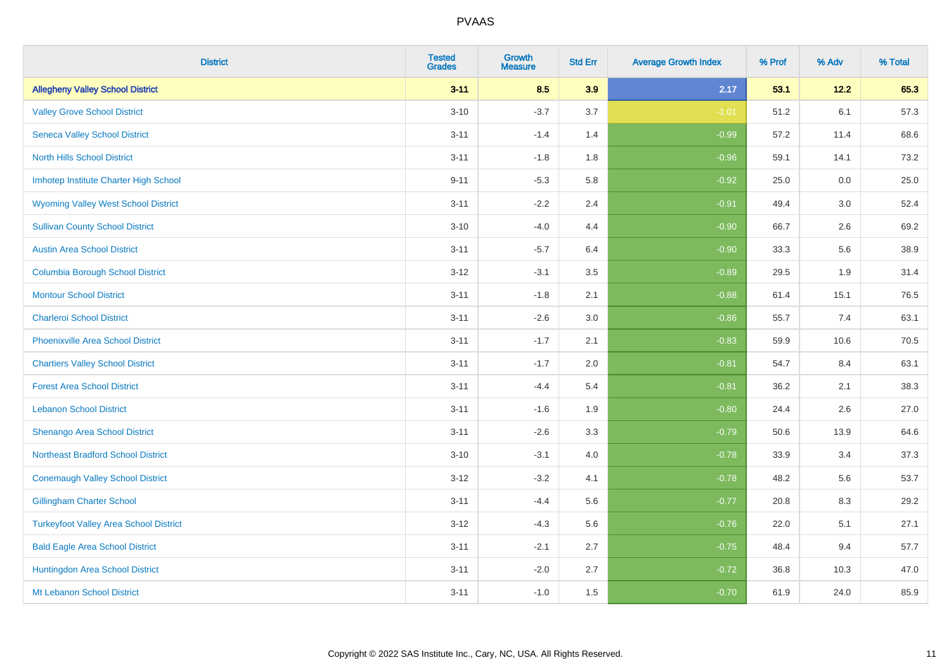| <b>District</b>                               | <b>Tested</b><br><b>Grades</b> | <b>Growth</b><br><b>Measure</b> | <b>Std Err</b> | <b>Average Growth Index</b> | % Prof | % Adv  | % Total |
|-----------------------------------------------|--------------------------------|---------------------------------|----------------|-----------------------------|--------|--------|---------|
| <b>Allegheny Valley School District</b>       | $3 - 11$                       | 8.5                             | 3.9            | 2.17                        | 53.1   | $12.2$ | 65.3    |
| <b>Valley Grove School District</b>           | $3 - 10$                       | $-3.7$                          | 3.7            | $-1.01$                     | 51.2   | 6.1    | 57.3    |
| <b>Seneca Valley School District</b>          | $3 - 11$                       | $-1.4$                          | 1.4            | $-0.99$                     | 57.2   | 11.4   | 68.6    |
| <b>North Hills School District</b>            | $3 - 11$                       | $-1.8$                          | 1.8            | $-0.96$                     | 59.1   | 14.1   | 73.2    |
| Imhotep Institute Charter High School         | $9 - 11$                       | $-5.3$                          | 5.8            | $-0.92$                     | 25.0   | 0.0    | 25.0    |
| <b>Wyoming Valley West School District</b>    | $3 - 11$                       | $-2.2$                          | 2.4            | $-0.91$                     | 49.4   | 3.0    | 52.4    |
| <b>Sullivan County School District</b>        | $3 - 10$                       | $-4.0$                          | 4.4            | $-0.90$                     | 66.7   | 2.6    | 69.2    |
| <b>Austin Area School District</b>            | $3 - 11$                       | $-5.7$                          | 6.4            | $-0.90$                     | 33.3   | 5.6    | 38.9    |
| <b>Columbia Borough School District</b>       | $3 - 12$                       | $-3.1$                          | 3.5            | $-0.89$                     | 29.5   | 1.9    | 31.4    |
| <b>Montour School District</b>                | $3 - 11$                       | $-1.8$                          | 2.1            | $-0.88$                     | 61.4   | 15.1   | 76.5    |
| <b>Charleroi School District</b>              | $3 - 11$                       | $-2.6$                          | 3.0            | $-0.86$                     | 55.7   | 7.4    | 63.1    |
| <b>Phoenixville Area School District</b>      | $3 - 11$                       | $-1.7$                          | 2.1            | $-0.83$                     | 59.9   | 10.6   | 70.5    |
| <b>Chartiers Valley School District</b>       | $3 - 11$                       | $-1.7$                          | 2.0            | $-0.81$                     | 54.7   | 8.4    | 63.1    |
| <b>Forest Area School District</b>            | $3 - 11$                       | $-4.4$                          | 5.4            | $-0.81$                     | 36.2   | 2.1    | 38.3    |
| <b>Lebanon School District</b>                | $3 - 11$                       | $-1.6$                          | 1.9            | $-0.80$                     | 24.4   | 2.6    | 27.0    |
| Shenango Area School District                 | $3 - 11$                       | $-2.6$                          | 3.3            | $-0.79$                     | 50.6   | 13.9   | 64.6    |
| <b>Northeast Bradford School District</b>     | $3 - 10$                       | $-3.1$                          | 4.0            | $-0.78$                     | 33.9   | 3.4    | 37.3    |
| <b>Conemaugh Valley School District</b>       | $3 - 12$                       | $-3.2$                          | 4.1            | $-0.78$                     | 48.2   | 5.6    | 53.7    |
| <b>Gillingham Charter School</b>              | $3 - 11$                       | $-4.4$                          | 5.6            | $-0.77$                     | 20.8   | 8.3    | 29.2    |
| <b>Turkeyfoot Valley Area School District</b> | $3 - 12$                       | $-4.3$                          | 5.6            | $-0.76$                     | 22.0   | 5.1    | 27.1    |
| <b>Bald Eagle Area School District</b>        | $3 - 11$                       | $-2.1$                          | 2.7            | $-0.75$                     | 48.4   | 9.4    | 57.7    |
| Huntingdon Area School District               | $3 - 11$                       | $-2.0$                          | 2.7            | $-0.72$                     | 36.8   | 10.3   | 47.0    |
| Mt Lebanon School District                    | $3 - 11$                       | $-1.0$                          | 1.5            | $-0.70$                     | 61.9   | 24.0   | 85.9    |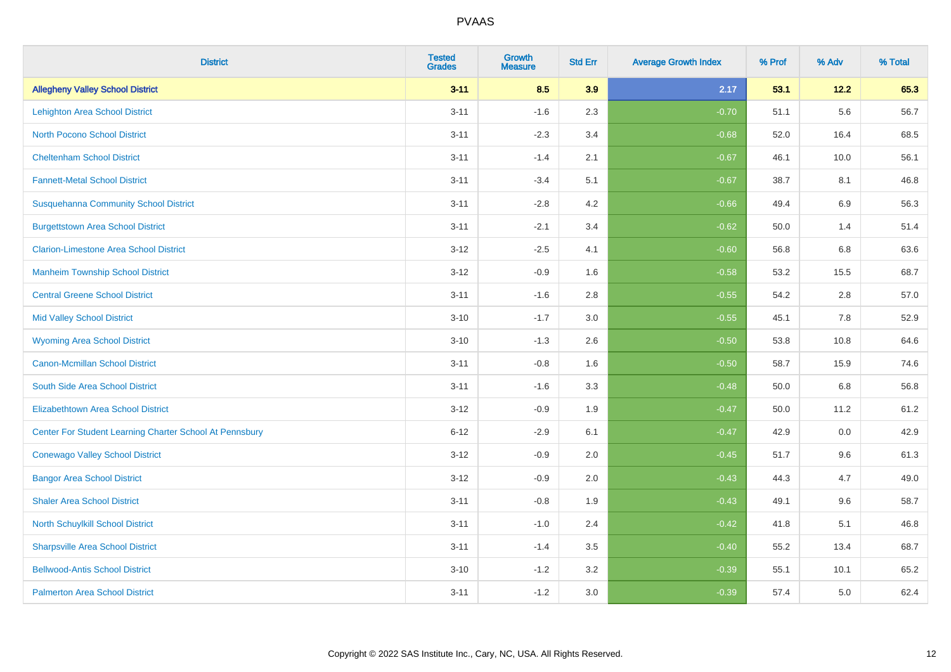| <b>District</b>                                         | <b>Tested</b><br><b>Grades</b> | <b>Growth</b><br><b>Measure</b> | <b>Std Err</b> | <b>Average Growth Index</b> | % Prof | % Adv   | % Total |
|---------------------------------------------------------|--------------------------------|---------------------------------|----------------|-----------------------------|--------|---------|---------|
| <b>Allegheny Valley School District</b>                 | $3 - 11$                       | 8.5                             | 3.9            | 2.17                        | 53.1   | 12.2    | 65.3    |
| <b>Lehighton Area School District</b>                   | $3 - 11$                       | $-1.6$                          | 2.3            | $-0.70$                     | 51.1   | 5.6     | 56.7    |
| <b>North Pocono School District</b>                     | $3 - 11$                       | $-2.3$                          | 3.4            | $-0.68$                     | 52.0   | 16.4    | 68.5    |
| <b>Cheltenham School District</b>                       | $3 - 11$                       | $-1.4$                          | 2.1            | $-0.67$                     | 46.1   | 10.0    | 56.1    |
| <b>Fannett-Metal School District</b>                    | $3 - 11$                       | $-3.4$                          | 5.1            | $-0.67$                     | 38.7   | 8.1     | 46.8    |
| <b>Susquehanna Community School District</b>            | $3 - 11$                       | $-2.8$                          | 4.2            | $-0.66$                     | 49.4   | 6.9     | 56.3    |
| <b>Burgettstown Area School District</b>                | $3 - 11$                       | $-2.1$                          | 3.4            | $-0.62$                     | 50.0   | 1.4     | 51.4    |
| <b>Clarion-Limestone Area School District</b>           | $3 - 12$                       | $-2.5$                          | 4.1            | $-0.60$                     | 56.8   | 6.8     | 63.6    |
| <b>Manheim Township School District</b>                 | $3 - 12$                       | $-0.9$                          | 1.6            | $-0.58$                     | 53.2   | 15.5    | 68.7    |
| <b>Central Greene School District</b>                   | $3 - 11$                       | $-1.6$                          | 2.8            | $-0.55$                     | 54.2   | $2.8\,$ | 57.0    |
| <b>Mid Valley School District</b>                       | $3 - 10$                       | $-1.7$                          | 3.0            | $-0.55$                     | 45.1   | 7.8     | 52.9    |
| <b>Wyoming Area School District</b>                     | $3 - 10$                       | $-1.3$                          | 2.6            | $-0.50$                     | 53.8   | 10.8    | 64.6    |
| <b>Canon-Mcmillan School District</b>                   | $3 - 11$                       | $-0.8$                          | 1.6            | $-0.50$                     | 58.7   | 15.9    | 74.6    |
| South Side Area School District                         | $3 - 11$                       | $-1.6$                          | 3.3            | $-0.48$                     | 50.0   | 6.8     | 56.8    |
| <b>Elizabethtown Area School District</b>               | $3 - 12$                       | $-0.9$                          | 1.9            | $-0.47$                     | 50.0   | 11.2    | 61.2    |
| Center For Student Learning Charter School At Pennsbury | $6 - 12$                       | $-2.9$                          | 6.1            | $-0.47$                     | 42.9   | 0.0     | 42.9    |
| <b>Conewago Valley School District</b>                  | $3-12$                         | $-0.9$                          | 2.0            | $-0.45$                     | 51.7   | 9.6     | 61.3    |
| <b>Bangor Area School District</b>                      | $3-12$                         | $-0.9$                          | 2.0            | $-0.43$                     | 44.3   | 4.7     | 49.0    |
| <b>Shaler Area School District</b>                      | $3 - 11$                       | $-0.8$                          | 1.9            | $-0.43$                     | 49.1   | 9.6     | 58.7    |
| North Schuylkill School District                        | $3 - 11$                       | $-1.0$                          | 2.4            | $-0.42$                     | 41.8   | 5.1     | 46.8    |
| <b>Sharpsville Area School District</b>                 | $3 - 11$                       | $-1.4$                          | 3.5            | $-0.40$                     | 55.2   | 13.4    | 68.7    |
| <b>Bellwood-Antis School District</b>                   | $3 - 10$                       | $-1.2$                          | 3.2            | $-0.39$                     | 55.1   | 10.1    | 65.2    |
| <b>Palmerton Area School District</b>                   | $3 - 11$                       | $-1.2$                          | 3.0            | $-0.39$                     | 57.4   | 5.0     | 62.4    |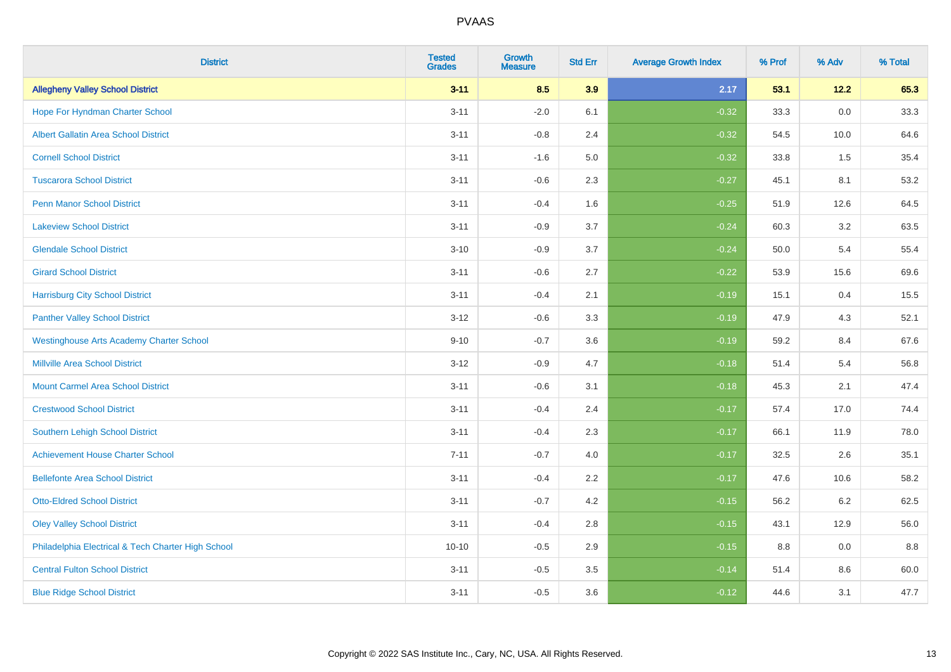| <b>District</b>                                    | <b>Tested</b><br><b>Grades</b> | <b>Growth</b><br><b>Measure</b> | <b>Std Err</b> | <b>Average Growth Index</b> | % Prof | % Adv   | % Total |
|----------------------------------------------------|--------------------------------|---------------------------------|----------------|-----------------------------|--------|---------|---------|
| <b>Allegheny Valley School District</b>            | $3 - 11$                       | 8.5                             | 3.9            | 2.17                        | 53.1   | 12.2    | 65.3    |
| Hope For Hyndman Charter School                    | $3 - 11$                       | $-2.0$                          | 6.1            | $-0.32$                     | 33.3   | 0.0     | 33.3    |
| <b>Albert Gallatin Area School District</b>        | $3 - 11$                       | $-0.8$                          | 2.4            | $-0.32$                     | 54.5   | 10.0    | 64.6    |
| <b>Cornell School District</b>                     | $3 - 11$                       | $-1.6$                          | 5.0            | $-0.32$                     | 33.8   | 1.5     | 35.4    |
| <b>Tuscarora School District</b>                   | $3 - 11$                       | $-0.6$                          | 2.3            | $-0.27$                     | 45.1   | 8.1     | 53.2    |
| <b>Penn Manor School District</b>                  | $3 - 11$                       | $-0.4$                          | 1.6            | $-0.25$                     | 51.9   | 12.6    | 64.5    |
| <b>Lakeview School District</b>                    | $3 - 11$                       | $-0.9$                          | 3.7            | $-0.24$                     | 60.3   | 3.2     | 63.5    |
| <b>Glendale School District</b>                    | $3 - 10$                       | $-0.9$                          | 3.7            | $-0.24$                     | 50.0   | 5.4     | 55.4    |
| <b>Girard School District</b>                      | $3 - 11$                       | $-0.6$                          | 2.7            | $-0.22$                     | 53.9   | 15.6    | 69.6    |
| <b>Harrisburg City School District</b>             | $3 - 11$                       | $-0.4$                          | 2.1            | $-0.19$                     | 15.1   | 0.4     | 15.5    |
| <b>Panther Valley School District</b>              | $3-12$                         | $-0.6$                          | 3.3            | $-0.19$                     | 47.9   | 4.3     | 52.1    |
| <b>Westinghouse Arts Academy Charter School</b>    | $9 - 10$                       | $-0.7$                          | 3.6            | $-0.19$                     | 59.2   | 8.4     | 67.6    |
| <b>Millville Area School District</b>              | $3 - 12$                       | $-0.9$                          | 4.7            | $-0.18$                     | 51.4   | 5.4     | 56.8    |
| <b>Mount Carmel Area School District</b>           | $3 - 11$                       | $-0.6$                          | 3.1            | $-0.18$                     | 45.3   | 2.1     | 47.4    |
| <b>Crestwood School District</b>                   | $3 - 11$                       | $-0.4$                          | 2.4            | $-0.17$                     | 57.4   | 17.0    | 74.4    |
| Southern Lehigh School District                    | $3 - 11$                       | $-0.4$                          | 2.3            | $-0.17$                     | 66.1   | 11.9    | 78.0    |
| <b>Achievement House Charter School</b>            | $7 - 11$                       | $-0.7$                          | 4.0            | $-0.17$                     | 32.5   | $2.6\,$ | 35.1    |
| <b>Bellefonte Area School District</b>             | $3 - 11$                       | $-0.4$                          | 2.2            | $-0.17$                     | 47.6   | 10.6    | 58.2    |
| <b>Otto-Eldred School District</b>                 | $3 - 11$                       | $-0.7$                          | 4.2            | $-0.15$                     | 56.2   | $6.2\,$ | 62.5    |
| <b>Oley Valley School District</b>                 | $3 - 11$                       | $-0.4$                          | 2.8            | $-0.15$                     | 43.1   | 12.9    | 56.0    |
| Philadelphia Electrical & Tech Charter High School | $10 - 10$                      | $-0.5$                          | 2.9            | $-0.15$                     | 8.8    | 0.0     | 8.8     |
| <b>Central Fulton School District</b>              | $3 - 11$                       | $-0.5$                          | 3.5            | $-0.14$                     | 51.4   | 8.6     | 60.0    |
| <b>Blue Ridge School District</b>                  | $3 - 11$                       | $-0.5$                          | 3.6            | $-0.12$                     | 44.6   | 3.1     | 47.7    |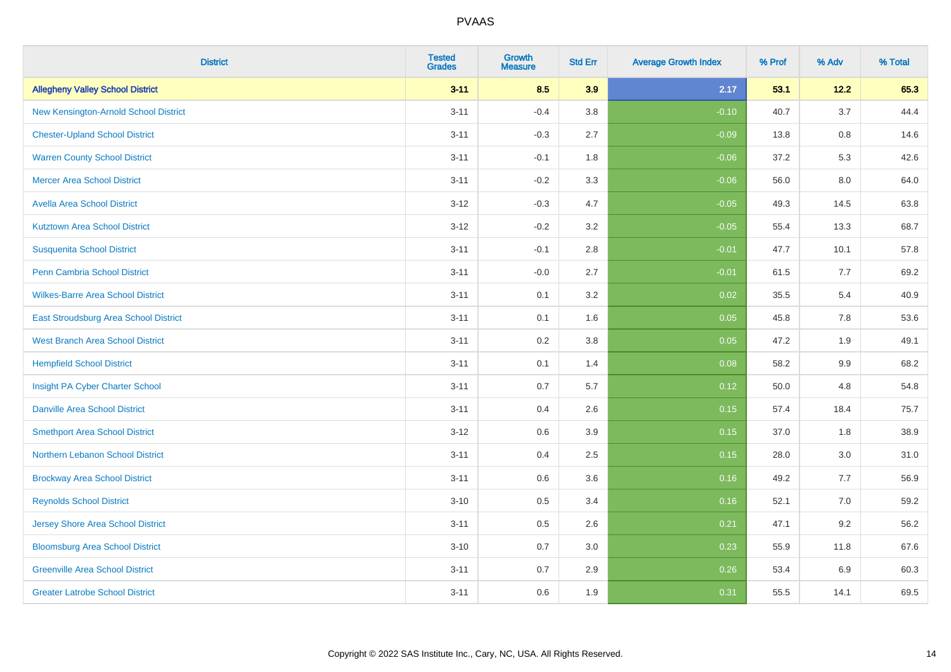| <b>District</b>                          | <b>Tested</b><br><b>Grades</b> | <b>Growth</b><br><b>Measure</b> | <b>Std Err</b> | <b>Average Growth Index</b> | % Prof | % Adv | % Total |
|------------------------------------------|--------------------------------|---------------------------------|----------------|-----------------------------|--------|-------|---------|
| <b>Allegheny Valley School District</b>  | $3 - 11$                       | 8.5                             | 3.9            | 2.17                        | 53.1   | 12.2  | 65.3    |
| New Kensington-Arnold School District    | $3 - 11$                       | $-0.4$                          | 3.8            | $-0.10$                     | 40.7   | 3.7   | 44.4    |
| <b>Chester-Upland School District</b>    | $3 - 11$                       | $-0.3$                          | 2.7            | $-0.09$                     | 13.8   | 0.8   | 14.6    |
| <b>Warren County School District</b>     | $3 - 11$                       | $-0.1$                          | 1.8            | $-0.06$                     | 37.2   | 5.3   | 42.6    |
| <b>Mercer Area School District</b>       | $3 - 11$                       | $-0.2$                          | 3.3            | $-0.06$                     | 56.0   | 8.0   | 64.0    |
| <b>Avella Area School District</b>       | $3 - 12$                       | $-0.3$                          | 4.7            | $-0.05$                     | 49.3   | 14.5  | 63.8    |
| <b>Kutztown Area School District</b>     | $3 - 12$                       | $-0.2$                          | 3.2            | $-0.05$                     | 55.4   | 13.3  | 68.7    |
| <b>Susquenita School District</b>        | $3 - 11$                       | $-0.1$                          | 2.8            | $-0.01$                     | 47.7   | 10.1  | 57.8    |
| <b>Penn Cambria School District</b>      | $3 - 11$                       | $-0.0$                          | 2.7            | $-0.01$                     | 61.5   | 7.7   | 69.2    |
| <b>Wilkes-Barre Area School District</b> | $3 - 11$                       | 0.1                             | 3.2            | 0.02                        | 35.5   | 5.4   | 40.9    |
| East Stroudsburg Area School District    | $3 - 11$                       | 0.1                             | 1.6            | 0.05                        | 45.8   | 7.8   | 53.6    |
| <b>West Branch Area School District</b>  | $3 - 11$                       | 0.2                             | 3.8            | 0.05                        | 47.2   | 1.9   | 49.1    |
| <b>Hempfield School District</b>         | $3 - 11$                       | 0.1                             | 1.4            | 0.08                        | 58.2   | 9.9   | 68.2    |
| Insight PA Cyber Charter School          | $3 - 11$                       | 0.7                             | 5.7            | 0.12                        | 50.0   | 4.8   | 54.8    |
| <b>Danville Area School District</b>     | $3 - 11$                       | 0.4                             | 2.6            | 0.15                        | 57.4   | 18.4  | 75.7    |
| <b>Smethport Area School District</b>    | $3 - 12$                       | 0.6                             | 3.9            | 0.15                        | 37.0   | 1.8   | 38.9    |
| <b>Northern Lebanon School District</b>  | $3 - 11$                       | 0.4                             | 2.5            | 0.15                        | 28.0   | 3.0   | 31.0    |
| <b>Brockway Area School District</b>     | $3 - 11$                       | 0.6                             | 3.6            | 0.16                        | 49.2   | 7.7   | 56.9    |
| <b>Reynolds School District</b>          | $3 - 10$                       | 0.5                             | 3.4            | 0.16                        | 52.1   | 7.0   | 59.2    |
| <b>Jersey Shore Area School District</b> | $3 - 11$                       | 0.5                             | 2.6            | 0.21                        | 47.1   | 9.2   | 56.2    |
| <b>Bloomsburg Area School District</b>   | $3 - 10$                       | 0.7                             | 3.0            | 0.23                        | 55.9   | 11.8  | 67.6    |
| <b>Greenville Area School District</b>   | $3 - 11$                       | 0.7                             | 2.9            | 0.26                        | 53.4   | 6.9   | 60.3    |
| <b>Greater Latrobe School District</b>   | $3 - 11$                       | 0.6                             | 1.9            | 0.31                        | 55.5   | 14.1  | 69.5    |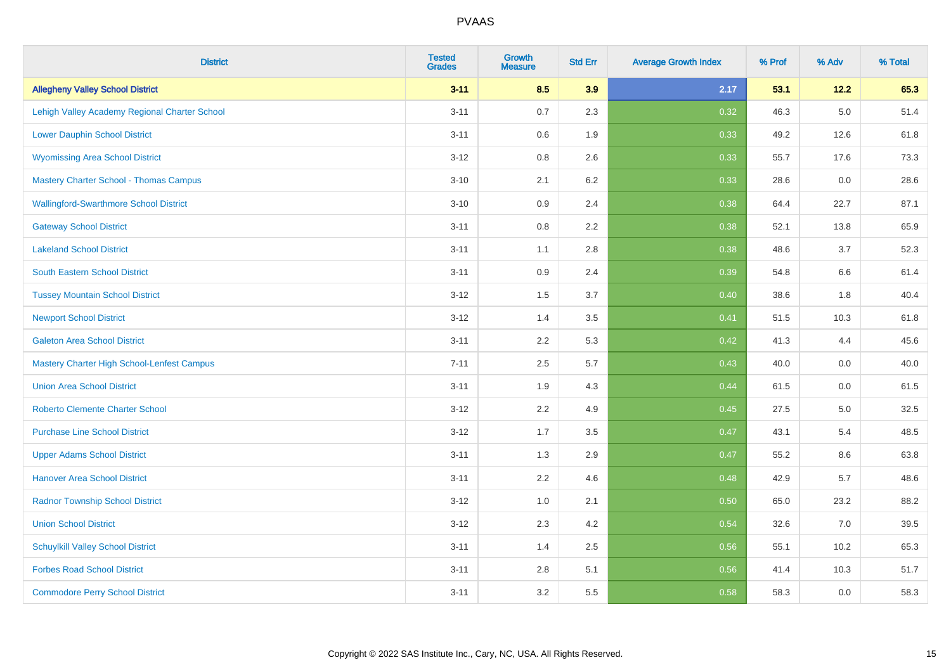| <b>District</b>                                   | <b>Tested</b><br><b>Grades</b> | Growth<br><b>Measure</b> | <b>Std Err</b> | <b>Average Growth Index</b> | % Prof | % Adv   | % Total |
|---------------------------------------------------|--------------------------------|--------------------------|----------------|-----------------------------|--------|---------|---------|
| <b>Allegheny Valley School District</b>           | $3 - 11$                       | 8.5                      | 3.9            | 2.17                        | 53.1   | 12.2    | 65.3    |
| Lehigh Valley Academy Regional Charter School     | $3 - 11$                       | 0.7                      | 2.3            | 0.32                        | 46.3   | $5.0\,$ | 51.4    |
| <b>Lower Dauphin School District</b>              | $3 - 11$                       | 0.6                      | 1.9            | 0.33                        | 49.2   | 12.6    | 61.8    |
| <b>Wyomissing Area School District</b>            | $3 - 12$                       | 0.8                      | 2.6            | 0.33                        | 55.7   | 17.6    | 73.3    |
| <b>Mastery Charter School - Thomas Campus</b>     | $3 - 10$                       | 2.1                      | 6.2            | 0.33                        | 28.6   | 0.0     | 28.6    |
| <b>Wallingford-Swarthmore School District</b>     | $3 - 10$                       | 0.9                      | 2.4            | 0.38                        | 64.4   | 22.7    | 87.1    |
| <b>Gateway School District</b>                    | $3 - 11$                       | $0.8\,$                  | 2.2            | 0.38                        | 52.1   | 13.8    | 65.9    |
| <b>Lakeland School District</b>                   | $3 - 11$                       | 1.1                      | 2.8            | 0.38                        | 48.6   | 3.7     | 52.3    |
| <b>South Eastern School District</b>              | $3 - 11$                       | 0.9                      | 2.4            | 0.39                        | 54.8   | $6.6\,$ | 61.4    |
| <b>Tussey Mountain School District</b>            | $3 - 12$                       | 1.5                      | 3.7            | 0.40                        | 38.6   | 1.8     | 40.4    |
| <b>Newport School District</b>                    | $3 - 12$                       | 1.4                      | 3.5            | 0.41                        | 51.5   | 10.3    | 61.8    |
| <b>Galeton Area School District</b>               | $3 - 11$                       | 2.2                      | 5.3            | 0.42                        | 41.3   | 4.4     | 45.6    |
| <b>Mastery Charter High School-Lenfest Campus</b> | $7 - 11$                       | 2.5                      | 5.7            | 0.43                        | 40.0   | 0.0     | 40.0    |
| <b>Union Area School District</b>                 | $3 - 11$                       | 1.9                      | 4.3            | 0.44                        | 61.5   | 0.0     | 61.5    |
| <b>Roberto Clemente Charter School</b>            | $3 - 12$                       | 2.2                      | 4.9            | 0.45                        | 27.5   | 5.0     | 32.5    |
| <b>Purchase Line School District</b>              | $3-12$                         | 1.7                      | 3.5            | 0.47                        | 43.1   | 5.4     | 48.5    |
| <b>Upper Adams School District</b>                | $3 - 11$                       | 1.3                      | 2.9            | 0.47                        | 55.2   | 8.6     | 63.8    |
| <b>Hanover Area School District</b>               | $3 - 11$                       | 2.2                      | 4.6            | 0.48                        | 42.9   | 5.7     | 48.6    |
| <b>Radnor Township School District</b>            | $3 - 12$                       | 1.0                      | 2.1            | 0.50                        | 65.0   | 23.2    | 88.2    |
| <b>Union School District</b>                      | $3 - 12$                       | 2.3                      | 4.2            | 0.54                        | 32.6   | 7.0     | 39.5    |
| <b>Schuylkill Valley School District</b>          | $3 - 11$                       | 1.4                      | 2.5            | 0.56                        | 55.1   | 10.2    | 65.3    |
| <b>Forbes Road School District</b>                | $3 - 11$                       | 2.8                      | 5.1            | 0.56                        | 41.4   | 10.3    | 51.7    |
| <b>Commodore Perry School District</b>            | $3 - 11$                       | 3.2                      | 5.5            | 0.58                        | 58.3   | 0.0     | 58.3    |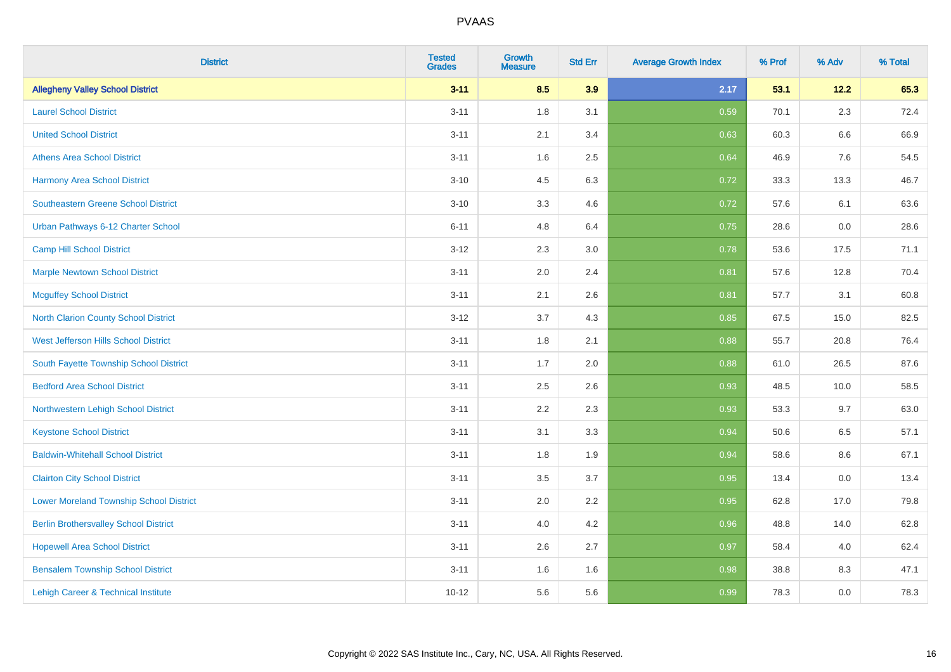| <b>District</b>                                | <b>Tested</b><br><b>Grades</b> | <b>Growth</b><br><b>Measure</b> | <b>Std Err</b> | <b>Average Growth Index</b> | % Prof | % Adv   | % Total |
|------------------------------------------------|--------------------------------|---------------------------------|----------------|-----------------------------|--------|---------|---------|
| <b>Allegheny Valley School District</b>        | $3 - 11$                       | 8.5                             | 3.9            | 2.17                        | 53.1   | 12.2    | 65.3    |
| <b>Laurel School District</b>                  | $3 - 11$                       | 1.8                             | 3.1            | 0.59                        | 70.1   | 2.3     | 72.4    |
| <b>United School District</b>                  | $3 - 11$                       | 2.1                             | 3.4            | 0.63                        | 60.3   | 6.6     | 66.9    |
| <b>Athens Area School District</b>             | $3 - 11$                       | 1.6                             | 2.5            | 0.64                        | 46.9   | 7.6     | 54.5    |
| <b>Harmony Area School District</b>            | $3 - 10$                       | 4.5                             | 6.3            | 0.72                        | 33.3   | 13.3    | 46.7    |
| <b>Southeastern Greene School District</b>     | $3 - 10$                       | 3.3                             | 4.6            | 0.72                        | 57.6   | 6.1     | 63.6    |
| Urban Pathways 6-12 Charter School             | $6 - 11$                       | 4.8                             | 6.4            | 0.75                        | 28.6   | $0.0\,$ | 28.6    |
| <b>Camp Hill School District</b>               | $3 - 12$                       | 2.3                             | 3.0            | 0.78                        | 53.6   | 17.5    | 71.1    |
| <b>Marple Newtown School District</b>          | $3 - 11$                       | 2.0                             | 2.4            | 0.81                        | 57.6   | 12.8    | 70.4    |
| <b>Mcguffey School District</b>                | $3 - 11$                       | 2.1                             | 2.6            | 0.81                        | 57.7   | 3.1     | 60.8    |
| North Clarion County School District           | $3 - 12$                       | 3.7                             | 4.3            | 0.85                        | 67.5   | 15.0    | 82.5    |
| West Jefferson Hills School District           | $3 - 11$                       | 1.8                             | 2.1            | 0.88                        | 55.7   | 20.8    | 76.4    |
| South Fayette Township School District         | $3 - 11$                       | 1.7                             | 2.0            | 0.88                        | 61.0   | 26.5    | 87.6    |
| <b>Bedford Area School District</b>            | $3 - 11$                       | 2.5                             | 2.6            | 0.93                        | 48.5   | 10.0    | 58.5    |
| Northwestern Lehigh School District            | $3 - 11$                       | 2.2                             | 2.3            | 0.93                        | 53.3   | 9.7     | 63.0    |
| <b>Keystone School District</b>                | $3 - 11$                       | 3.1                             | 3.3            | 0.94                        | 50.6   | 6.5     | 57.1    |
| <b>Baldwin-Whitehall School District</b>       | $3 - 11$                       | 1.8                             | 1.9            | 0.94                        | 58.6   | 8.6     | 67.1    |
| <b>Clairton City School District</b>           | $3 - 11$                       | 3.5                             | 3.7            | 0.95                        | 13.4   | 0.0     | 13.4    |
| <b>Lower Moreland Township School District</b> | $3 - 11$                       | 2.0                             | 2.2            | 0.95                        | 62.8   | 17.0    | 79.8    |
| <b>Berlin Brothersvalley School District</b>   | $3 - 11$                       | 4.0                             | 4.2            | 0.96                        | 48.8   | 14.0    | 62.8    |
| <b>Hopewell Area School District</b>           | $3 - 11$                       | 2.6                             | 2.7            | 0.97                        | 58.4   | 4.0     | 62.4    |
| <b>Bensalem Township School District</b>       | $3 - 11$                       | 1.6                             | 1.6            | 0.98                        | 38.8   | 8.3     | 47.1    |
| Lehigh Career & Technical Institute            | $10 - 12$                      | 5.6                             | 5.6            | 0.99                        | 78.3   | 0.0     | 78.3    |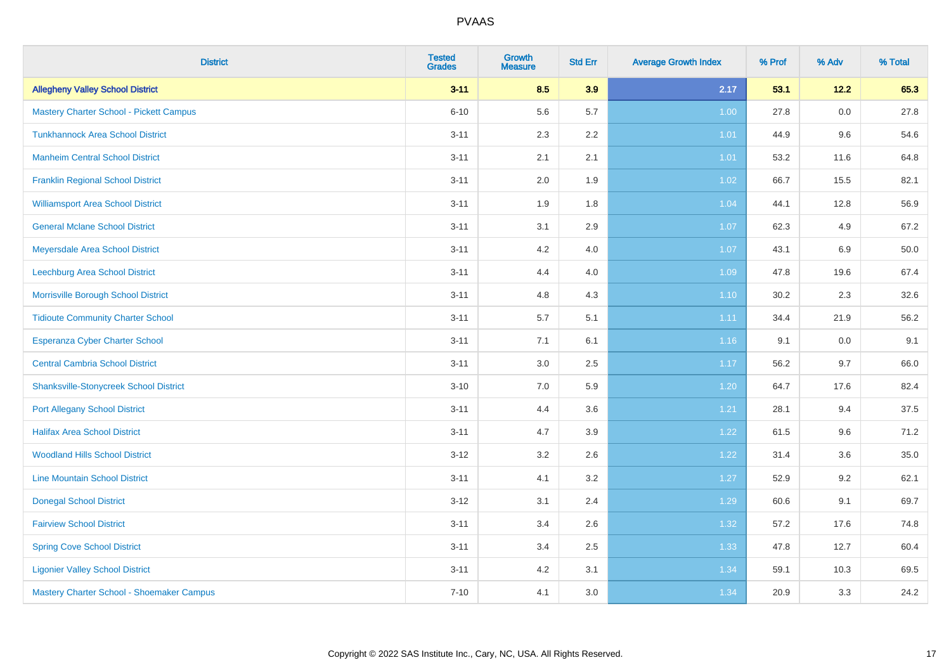| <b>District</b>                               | <b>Tested</b><br><b>Grades</b> | <b>Growth</b><br><b>Measure</b> | <b>Std Err</b> | <b>Average Growth Index</b> | % Prof | % Adv   | % Total |
|-----------------------------------------------|--------------------------------|---------------------------------|----------------|-----------------------------|--------|---------|---------|
| <b>Allegheny Valley School District</b>       | $3 - 11$                       | 8.5                             | 3.9            | 2.17                        | 53.1   | 12.2    | 65.3    |
| Mastery Charter School - Pickett Campus       | $6 - 10$                       | 5.6                             | 5.7            | 1.00                        | 27.8   | 0.0     | 27.8    |
| <b>Tunkhannock Area School District</b>       | $3 - 11$                       | 2.3                             | 2.2            | 1.01                        | 44.9   | 9.6     | 54.6    |
| <b>Manheim Central School District</b>        | $3 - 11$                       | 2.1                             | 2.1            | 1.01                        | 53.2   | 11.6    | 64.8    |
| <b>Franklin Regional School District</b>      | $3 - 11$                       | 2.0                             | 1.9            | $1.02$                      | 66.7   | 15.5    | 82.1    |
| <b>Williamsport Area School District</b>      | $3 - 11$                       | 1.9                             | 1.8            | 1.04                        | 44.1   | 12.8    | 56.9    |
| <b>General Mclane School District</b>         | $3 - 11$                       | 3.1                             | 2.9            | 1.07                        | 62.3   | 4.9     | 67.2    |
| Meyersdale Area School District               | $3 - 11$                       | 4.2                             | 4.0            | 1.07                        | 43.1   | 6.9     | 50.0    |
| Leechburg Area School District                | $3 - 11$                       | 4.4                             | 4.0            | 1.09                        | 47.8   | 19.6    | 67.4    |
| Morrisville Borough School District           | $3 - 11$                       | 4.8                             | 4.3            | $1.10$                      | 30.2   | 2.3     | 32.6    |
| <b>Tidioute Community Charter School</b>      | $3 - 11$                       | 5.7                             | 5.1            | 1.11                        | 34.4   | 21.9    | 56.2    |
| <b>Esperanza Cyber Charter School</b>         | $3 - 11$                       | 7.1                             | 6.1            | 1.16                        | 9.1    | $0.0\,$ | 9.1     |
| <b>Central Cambria School District</b>        | $3 - 11$                       | 3.0                             | 2.5            | 1.17                        | 56.2   | 9.7     | 66.0    |
| <b>Shanksville-Stonycreek School District</b> | $3 - 10$                       | 7.0                             | 5.9            | 1.20                        | 64.7   | 17.6    | 82.4    |
| <b>Port Allegany School District</b>          | $3 - 11$                       | 4.4                             | 3.6            | 1.21                        | 28.1   | 9.4     | 37.5    |
| <b>Halifax Area School District</b>           | $3 - 11$                       | 4.7                             | 3.9            | 1.22                        | 61.5   | 9.6     | 71.2    |
| <b>Woodland Hills School District</b>         | $3-12$                         | 3.2                             | 2.6            | 1.22                        | 31.4   | 3.6     | 35.0    |
| <b>Line Mountain School District</b>          | $3 - 11$                       | 4.1                             | 3.2            | 1.27                        | 52.9   | 9.2     | 62.1    |
| <b>Donegal School District</b>                | $3 - 12$                       | 3.1                             | 2.4            | 1.29                        | 60.6   | 9.1     | 69.7    |
| <b>Fairview School District</b>               | $3 - 11$                       | 3.4                             | 2.6            | 1.32                        | 57.2   | 17.6    | 74.8    |
| <b>Spring Cove School District</b>            | $3 - 11$                       | 3.4                             | 2.5            | 1.33                        | 47.8   | 12.7    | 60.4    |
| <b>Ligonier Valley School District</b>        | $3 - 11$                       | 4.2                             | 3.1            | 1.34                        | 59.1   | 10.3    | 69.5    |
| Mastery Charter School - Shoemaker Campus     | $7 - 10$                       | 4.1                             | 3.0            | 1.34                        | 20.9   | 3.3     | 24.2    |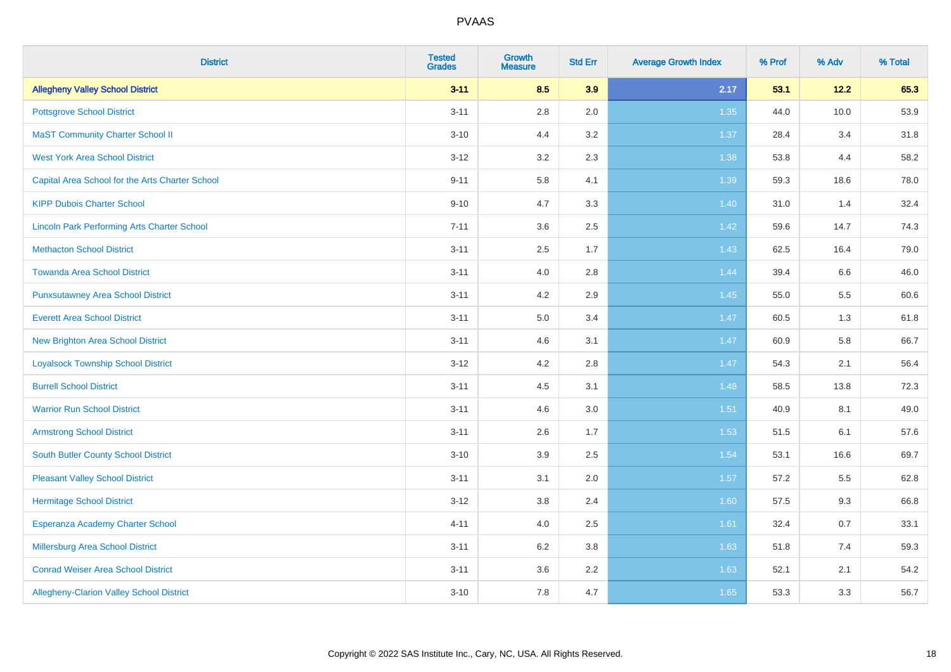| <b>District</b>                                    | <b>Tested</b><br><b>Grades</b> | <b>Growth</b><br><b>Measure</b> | <b>Std Err</b> | <b>Average Growth Index</b> | % Prof | % Adv | % Total |
|----------------------------------------------------|--------------------------------|---------------------------------|----------------|-----------------------------|--------|-------|---------|
| <b>Allegheny Valley School District</b>            | $3 - 11$                       | 8.5                             | 3.9            | 2.17                        | 53.1   | 12.2  | 65.3    |
| <b>Pottsgrove School District</b>                  | $3 - 11$                       | $2.8\,$                         | 2.0            | 1.35                        | 44.0   | 10.0  | 53.9    |
| <b>MaST Community Charter School II</b>            | $3 - 10$                       | 4.4                             | 3.2            | 1.37                        | 28.4   | 3.4   | 31.8    |
| <b>West York Area School District</b>              | $3 - 12$                       | 3.2                             | 2.3            | 1.38                        | 53.8   | 4.4   | 58.2    |
| Capital Area School for the Arts Charter School    | $9 - 11$                       | 5.8                             | 4.1            | 1.39                        | 59.3   | 18.6  | 78.0    |
| <b>KIPP Dubois Charter School</b>                  | $9 - 10$                       | 4.7                             | 3.3            | 1.40                        | 31.0   | 1.4   | 32.4    |
| <b>Lincoln Park Performing Arts Charter School</b> | $7 - 11$                       | 3.6                             | 2.5            | 1.42                        | 59.6   | 14.7  | 74.3    |
| <b>Methacton School District</b>                   | $3 - 11$                       | 2.5                             | 1.7            | 1.43                        | 62.5   | 16.4  | 79.0    |
| <b>Towanda Area School District</b>                | $3 - 11$                       | 4.0                             | 2.8            | 1.44                        | 39.4   | 6.6   | 46.0    |
| <b>Punxsutawney Area School District</b>           | $3 - 11$                       | 4.2                             | 2.9            | $1.45$                      | 55.0   | 5.5   | 60.6    |
| <b>Everett Area School District</b>                | $3 - 11$                       | 5.0                             | 3.4            | 1.47                        | 60.5   | 1.3   | 61.8    |
| <b>New Brighton Area School District</b>           | $3 - 11$                       | 4.6                             | 3.1            | $1.47$                      | 60.9   | 5.8   | 66.7    |
| <b>Loyalsock Township School District</b>          | $3 - 12$                       | 4.2                             | 2.8            | 1.47                        | 54.3   | 2.1   | 56.4    |
| <b>Burrell School District</b>                     | $3 - 11$                       | 4.5                             | 3.1            | 1.48                        | 58.5   | 13.8  | 72.3    |
| <b>Warrior Run School District</b>                 | $3 - 11$                       | 4.6                             | 3.0            | 1.51                        | 40.9   | 8.1   | 49.0    |
| <b>Armstrong School District</b>                   | $3 - 11$                       | 2.6                             | 1.7            | 1.53                        | 51.5   | 6.1   | 57.6    |
| <b>South Butler County School District</b>         | $3 - 10$                       | 3.9                             | 2.5            | 1.54                        | 53.1   | 16.6  | 69.7    |
| <b>Pleasant Valley School District</b>             | $3 - 11$                       | 3.1                             | 2.0            | 1.57                        | 57.2   | 5.5   | 62.8    |
| <b>Hermitage School District</b>                   | $3 - 12$                       | $3.8\,$                         | 2.4            | 1.60                        | 57.5   | 9.3   | 66.8    |
| Esperanza Academy Charter School                   | $4 - 11$                       | 4.0                             | 2.5            | 1.61                        | 32.4   | 0.7   | 33.1    |
| <b>Millersburg Area School District</b>            | $3 - 11$                       | 6.2                             | 3.8            | 1.63                        | 51.8   | 7.4   | 59.3    |
| <b>Conrad Weiser Area School District</b>          | $3 - 11$                       | 3.6                             | 2.2            | 1.63                        | 52.1   | 2.1   | 54.2    |
| Allegheny-Clarion Valley School District           | $3 - 10$                       | 7.8                             | 4.7            | 1.65                        | 53.3   | 3.3   | 56.7    |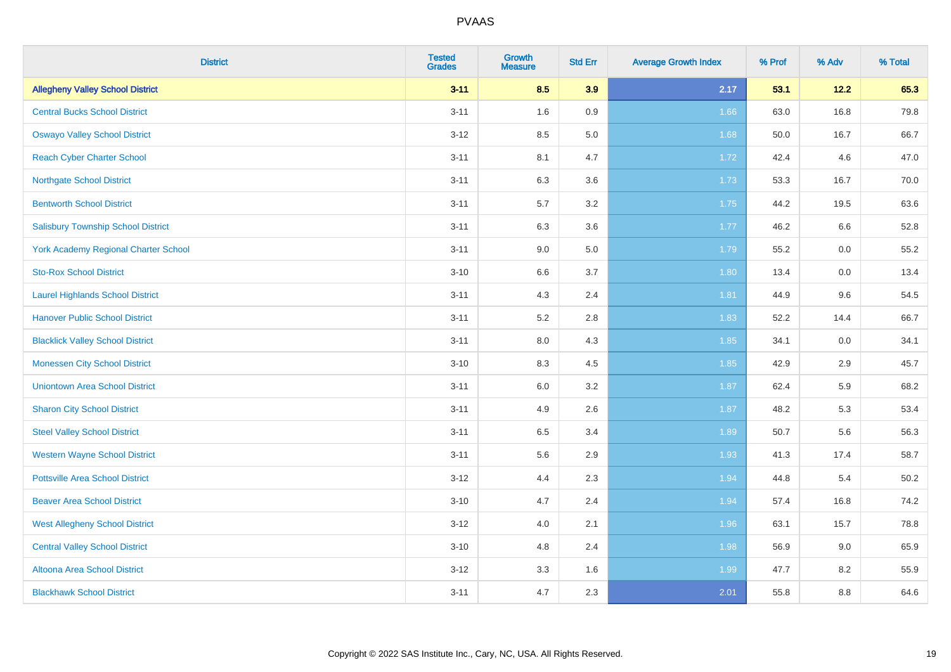| <b>District</b>                             | <b>Tested</b><br><b>Grades</b> | <b>Growth</b><br><b>Measure</b> | <b>Std Err</b> | <b>Average Growth Index</b> | % Prof | % Adv | % Total |
|---------------------------------------------|--------------------------------|---------------------------------|----------------|-----------------------------|--------|-------|---------|
| <b>Allegheny Valley School District</b>     | $3 - 11$                       | 8.5                             | 3.9            | 2.17                        | 53.1   | 12.2  | 65.3    |
| <b>Central Bucks School District</b>        | $3 - 11$                       | 1.6                             | 0.9            | 1.66                        | 63.0   | 16.8  | 79.8    |
| <b>Oswayo Valley School District</b>        | $3 - 12$                       | 8.5                             | 5.0            | 1.68                        | 50.0   | 16.7  | 66.7    |
| <b>Reach Cyber Charter School</b>           | $3 - 11$                       | 8.1                             | 4.7            | 1.72                        | 42.4   | 4.6   | 47.0    |
| <b>Northgate School District</b>            | $3 - 11$                       | 6.3                             | 3.6            | 1.73                        | 53.3   | 16.7  | 70.0    |
| <b>Bentworth School District</b>            | $3 - 11$                       | 5.7                             | 3.2            | 1.75                        | 44.2   | 19.5  | 63.6    |
| <b>Salisbury Township School District</b>   | $3 - 11$                       | 6.3                             | 3.6            | 1.77                        | 46.2   | 6.6   | 52.8    |
| <b>York Academy Regional Charter School</b> | $3 - 11$                       | 9.0                             | 5.0            | 1.79                        | 55.2   | 0.0   | 55.2    |
| <b>Sto-Rox School District</b>              | $3 - 10$                       | 6.6                             | 3.7            | 1.80                        | 13.4   | 0.0   | 13.4    |
| <b>Laurel Highlands School District</b>     | $3 - 11$                       | 4.3                             | 2.4            | 1.81                        | 44.9   | 9.6   | 54.5    |
| <b>Hanover Public School District</b>       | $3 - 11$                       | 5.2                             | 2.8            | 1.83                        | 52.2   | 14.4  | 66.7    |
| <b>Blacklick Valley School District</b>     | $3 - 11$                       | 8.0                             | 4.3            | 1.85                        | 34.1   | 0.0   | 34.1    |
| <b>Monessen City School District</b>        | $3 - 10$                       | 8.3                             | 4.5            | 1.85                        | 42.9   | 2.9   | 45.7    |
| <b>Uniontown Area School District</b>       | $3 - 11$                       | 6.0                             | 3.2            | 1.87                        | 62.4   | 5.9   | 68.2    |
| <b>Sharon City School District</b>          | $3 - 11$                       | 4.9                             | 2.6            | 1.87                        | 48.2   | 5.3   | 53.4    |
| <b>Steel Valley School District</b>         | $3 - 11$                       | 6.5                             | 3.4            | 1.89                        | 50.7   | 5.6   | 56.3    |
| <b>Western Wayne School District</b>        | $3 - 11$                       | 5.6                             | 2.9            | 1.93                        | 41.3   | 17.4  | 58.7    |
| <b>Pottsville Area School District</b>      | $3 - 12$                       | 4.4                             | 2.3            | 1.94                        | 44.8   | 5.4   | 50.2    |
| <b>Beaver Area School District</b>          | $3 - 10$                       | 4.7                             | 2.4            | 1.94                        | 57.4   | 16.8  | 74.2    |
| <b>West Allegheny School District</b>       | $3 - 12$                       | 4.0                             | 2.1            | 1.96                        | 63.1   | 15.7  | 78.8    |
| <b>Central Valley School District</b>       | $3 - 10$                       | 4.8                             | 2.4            | 1.98                        | 56.9   | 9.0   | 65.9    |
| Altoona Area School District                | $3 - 12$                       | 3.3                             | 1.6            | 1.99                        | 47.7   | 8.2   | 55.9    |
| <b>Blackhawk School District</b>            | $3 - 11$                       | 4.7                             | 2.3            | 2.01                        | 55.8   | 8.8   | 64.6    |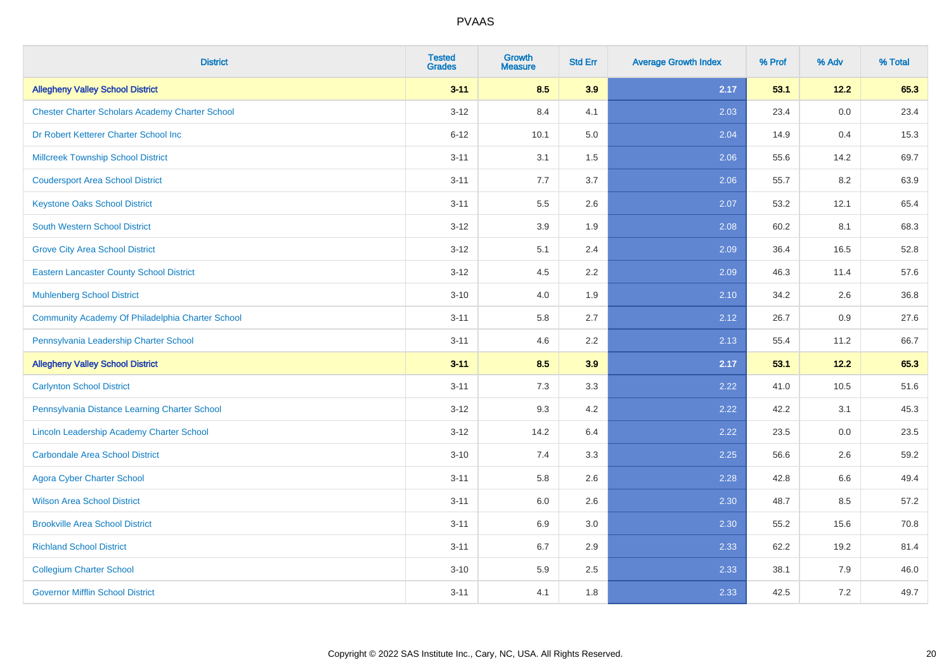| <b>District</b>                                        | <b>Tested</b><br><b>Grades</b> | <b>Growth</b><br><b>Measure</b> | <b>Std Err</b> | <b>Average Growth Index</b> | % Prof | % Adv  | % Total |
|--------------------------------------------------------|--------------------------------|---------------------------------|----------------|-----------------------------|--------|--------|---------|
| <b>Allegheny Valley School District</b>                | $3 - 11$                       | 8.5                             | 3.9            | 2.17                        | 53.1   | $12.2$ | 65.3    |
| <b>Chester Charter Scholars Academy Charter School</b> | $3 - 12$                       | 8.4                             | 4.1            | 2.03                        | 23.4   | 0.0    | 23.4    |
| Dr Robert Ketterer Charter School Inc                  | $6 - 12$                       | 10.1                            | 5.0            | 2.04                        | 14.9   | 0.4    | 15.3    |
| <b>Millcreek Township School District</b>              | $3 - 11$                       | 3.1                             | 1.5            | 2.06                        | 55.6   | 14.2   | 69.7    |
| <b>Coudersport Area School District</b>                | $3 - 11$                       | 7.7                             | 3.7            | 2.06                        | 55.7   | 8.2    | 63.9    |
| <b>Keystone Oaks School District</b>                   | $3 - 11$                       | 5.5                             | 2.6            | 2.07                        | 53.2   | 12.1   | 65.4    |
| South Western School District                          | $3 - 12$                       | 3.9                             | 1.9            | 2.08                        | 60.2   | 8.1    | 68.3    |
| <b>Grove City Area School District</b>                 | $3 - 12$                       | 5.1                             | 2.4            | 2.09                        | 36.4   | 16.5   | 52.8    |
| <b>Eastern Lancaster County School District</b>        | $3 - 12$                       | 4.5                             | 2.2            | 2.09                        | 46.3   | 11.4   | 57.6    |
| <b>Muhlenberg School District</b>                      | $3 - 10$                       | 4.0                             | 1.9            | 2.10                        | 34.2   | 2.6    | 36.8    |
| Community Academy Of Philadelphia Charter School       | $3 - 11$                       | 5.8                             | 2.7            | 2.12                        | 26.7   | 0.9    | 27.6    |
| Pennsylvania Leadership Charter School                 | $3 - 11$                       | 4.6                             | 2.2            | 2.13                        | 55.4   | 11.2   | 66.7    |
| <b>Allegheny Valley School District</b>                | $3 - 11$                       | 8.5                             | 3.9            | 2.17                        | 53.1   | 12.2   | 65.3    |
| <b>Carlynton School District</b>                       | $3 - 11$                       | 7.3                             | 3.3            | 2.22                        | 41.0   | 10.5   | 51.6    |
| Pennsylvania Distance Learning Charter School          | $3 - 12$                       | 9.3                             | 4.2            | 2.22                        | 42.2   | 3.1    | 45.3    |
| Lincoln Leadership Academy Charter School              | $3 - 12$                       | 14.2                            | 6.4            | 2.22                        | 23.5   | 0.0    | 23.5    |
| <b>Carbondale Area School District</b>                 | $3 - 10$                       | 7.4                             | 3.3            | 2.25                        | 56.6   | 2.6    | 59.2    |
| <b>Agora Cyber Charter School</b>                      | $3 - 11$                       | 5.8                             | 2.6            | 2.28                        | 42.8   | 6.6    | 49.4    |
| <b>Wilson Area School District</b>                     | $3 - 11$                       | 6.0                             | 2.6            | 2.30                        | 48.7   | 8.5    | 57.2    |
| <b>Brookville Area School District</b>                 | $3 - 11$                       | 6.9                             | 3.0            | 2.30                        | 55.2   | 15.6   | 70.8    |
| <b>Richland School District</b>                        | $3 - 11$                       | 6.7                             | 2.9            | 2.33                        | 62.2   | 19.2   | 81.4    |
| <b>Collegium Charter School</b>                        | $3 - 10$                       | 5.9                             | 2.5            | 2.33                        | 38.1   | 7.9    | 46.0    |
| <b>Governor Mifflin School District</b>                | $3 - 11$                       | 4.1                             | 1.8            | 2.33                        | 42.5   | 7.2    | 49.7    |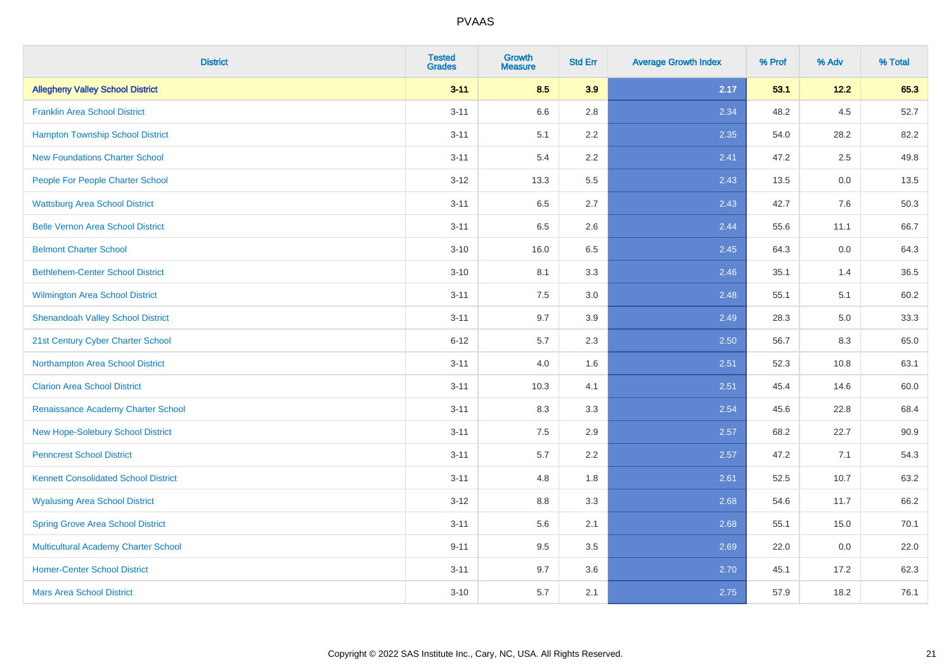| <b>District</b>                             | <b>Tested</b><br><b>Grades</b> | <b>Growth</b><br><b>Measure</b> | <b>Std Err</b> | <b>Average Growth Index</b> | % Prof | % Adv  | % Total |
|---------------------------------------------|--------------------------------|---------------------------------|----------------|-----------------------------|--------|--------|---------|
| <b>Allegheny Valley School District</b>     | $3 - 11$                       | 8.5                             | 3.9            | 2.17                        | 53.1   | $12.2$ | 65.3    |
| <b>Franklin Area School District</b>        | $3 - 11$                       | 6.6                             | 2.8            | 2.34                        | 48.2   | 4.5    | 52.7    |
| <b>Hampton Township School District</b>     | $3 - 11$                       | 5.1                             | 2.2            | 2.35                        | 54.0   | 28.2   | 82.2    |
| <b>New Foundations Charter School</b>       | $3 - 11$                       | 5.4                             | 2.2            | 2.41                        | 47.2   | 2.5    | 49.8    |
| People For People Charter School            | $3 - 12$                       | 13.3                            | 5.5            | 2.43                        | 13.5   | 0.0    | 13.5    |
| <b>Wattsburg Area School District</b>       | $3 - 11$                       | 6.5                             | 2.7            | 2.43                        | 42.7   | 7.6    | 50.3    |
| <b>Belle Vernon Area School District</b>    | $3 - 11$                       | 6.5                             | 2.6            | 2.44                        | 55.6   | 11.1   | 66.7    |
| <b>Belmont Charter School</b>               | $3 - 10$                       | 16.0                            | 6.5            | 2.45                        | 64.3   | 0.0    | 64.3    |
| <b>Bethlehem-Center School District</b>     | $3 - 10$                       | 8.1                             | 3.3            | 2.46                        | 35.1   | 1.4    | 36.5    |
| <b>Wilmington Area School District</b>      | $3 - 11$                       | 7.5                             | 3.0            | 2.48                        | 55.1   | 5.1    | 60.2    |
| <b>Shenandoah Valley School District</b>    | $3 - 11$                       | 9.7                             | 3.9            | 2.49                        | 28.3   | 5.0    | 33.3    |
| 21st Century Cyber Charter School           | $6 - 12$                       | 5.7                             | 2.3            | 2.50                        | 56.7   | 8.3    | 65.0    |
| Northampton Area School District            | $3 - 11$                       | 4.0                             | 1.6            | 2.51                        | 52.3   | 10.8   | 63.1    |
| <b>Clarion Area School District</b>         | $3 - 11$                       | 10.3                            | 4.1            | 2.51                        | 45.4   | 14.6   | 60.0    |
| Renaissance Academy Charter School          | $3 - 11$                       | 8.3                             | 3.3            | 2.54                        | 45.6   | 22.8   | 68.4    |
| New Hope-Solebury School District           | $3 - 11$                       | $7.5\,$                         | 2.9            | 2.57                        | 68.2   | 22.7   | 90.9    |
| <b>Penncrest School District</b>            | $3 - 11$                       | 5.7                             | 2.2            | 2.57                        | 47.2   | 7.1    | 54.3    |
| <b>Kennett Consolidated School District</b> | $3 - 11$                       | 4.8                             | 1.8            | 2.61                        | 52.5   | 10.7   | 63.2    |
| <b>Wyalusing Area School District</b>       | $3 - 12$                       | $8.8\,$                         | 3.3            | 2.68                        | 54.6   | 11.7   | 66.2    |
| <b>Spring Grove Area School District</b>    | $3 - 11$                       | 5.6                             | 2.1            | 2.68                        | 55.1   | 15.0   | 70.1    |
| <b>Multicultural Academy Charter School</b> | $9 - 11$                       | 9.5                             | 3.5            | 2.69                        | 22.0   | 0.0    | 22.0    |
| <b>Homer-Center School District</b>         | $3 - 11$                       | 9.7                             | 3.6            | 2.70                        | 45.1   | 17.2   | 62.3    |
| <b>Mars Area School District</b>            | $3 - 10$                       | 5.7                             | 2.1            | 2.75                        | 57.9   | 18.2   | 76.1    |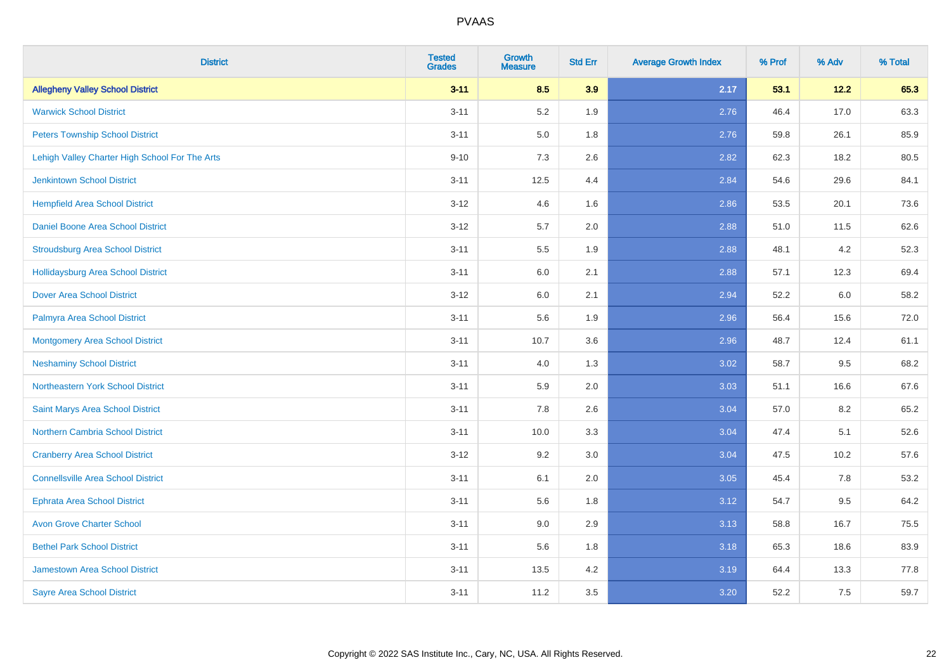| <b>District</b>                                | <b>Tested</b><br><b>Grades</b> | <b>Growth</b><br><b>Measure</b> | <b>Std Err</b> | <b>Average Growth Index</b> | % Prof | % Adv   | % Total |
|------------------------------------------------|--------------------------------|---------------------------------|----------------|-----------------------------|--------|---------|---------|
| <b>Allegheny Valley School District</b>        | $3 - 11$                       | 8.5                             | 3.9            | 2.17                        | 53.1   | 12.2    | 65.3    |
| <b>Warwick School District</b>                 | $3 - 11$                       | 5.2                             | 1.9            | 2.76                        | 46.4   | 17.0    | 63.3    |
| <b>Peters Township School District</b>         | $3 - 11$                       | 5.0                             | 1.8            | 2.76                        | 59.8   | 26.1    | 85.9    |
| Lehigh Valley Charter High School For The Arts | $9 - 10$                       | $7.3$                           | 2.6            | 2.82                        | 62.3   | 18.2    | 80.5    |
| <b>Jenkintown School District</b>              | $3 - 11$                       | 12.5                            | 4.4            | 2.84                        | 54.6   | 29.6    | 84.1    |
| <b>Hempfield Area School District</b>          | $3 - 12$                       | 4.6                             | 1.6            | 2.86                        | 53.5   | 20.1    | 73.6    |
| Daniel Boone Area School District              | $3 - 12$                       | 5.7                             | 2.0            | 2.88                        | 51.0   | 11.5    | 62.6    |
| <b>Stroudsburg Area School District</b>        | $3 - 11$                       | $5.5\,$                         | 1.9            | 2.88                        | 48.1   | 4.2     | 52.3    |
| <b>Hollidaysburg Area School District</b>      | $3 - 11$                       | 6.0                             | 2.1            | 2.88                        | 57.1   | 12.3    | 69.4    |
| <b>Dover Area School District</b>              | $3 - 12$                       | 6.0                             | 2.1            | 2.94                        | 52.2   | 6.0     | 58.2    |
| Palmyra Area School District                   | $3 - 11$                       | 5.6                             | 1.9            | 2.96                        | 56.4   | 15.6    | 72.0    |
| <b>Montgomery Area School District</b>         | $3 - 11$                       | 10.7                            | 3.6            | 2.96                        | 48.7   | 12.4    | 61.1    |
| <b>Neshaminy School District</b>               | $3 - 11$                       | $4.0\,$                         | 1.3            | 3.02                        | 58.7   | $9.5\,$ | 68.2    |
| <b>Northeastern York School District</b>       | $3 - 11$                       | 5.9                             | 2.0            | 3.03                        | 51.1   | 16.6    | 67.6    |
| Saint Marys Area School District               | $3 - 11$                       | 7.8                             | 2.6            | 3.04                        | 57.0   | 8.2     | 65.2    |
| <b>Northern Cambria School District</b>        | $3 - 11$                       | 10.0                            | 3.3            | 3.04                        | 47.4   | 5.1     | 52.6    |
| <b>Cranberry Area School District</b>          | $3 - 12$                       | 9.2                             | 3.0            | 3.04                        | 47.5   | 10.2    | 57.6    |
| <b>Connellsville Area School District</b>      | $3 - 11$                       | 6.1                             | 2.0            | 3.05                        | 45.4   | 7.8     | 53.2    |
| <b>Ephrata Area School District</b>            | $3 - 11$                       | 5.6                             | 1.8            | 3.12                        | 54.7   | 9.5     | 64.2    |
| <b>Avon Grove Charter School</b>               | $3 - 11$                       | 9.0                             | 2.9            | 3.13                        | 58.8   | 16.7    | 75.5    |
| <b>Bethel Park School District</b>             | $3 - 11$                       | 5.6                             | 1.8            | 3.18                        | 65.3   | 18.6    | 83.9    |
| Jamestown Area School District                 | $3 - 11$                       | 13.5                            | 4.2            | 3.19                        | 64.4   | 13.3    | 77.8    |
| <b>Sayre Area School District</b>              | $3 - 11$                       | 11.2                            | 3.5            | 3.20                        | 52.2   | 7.5     | 59.7    |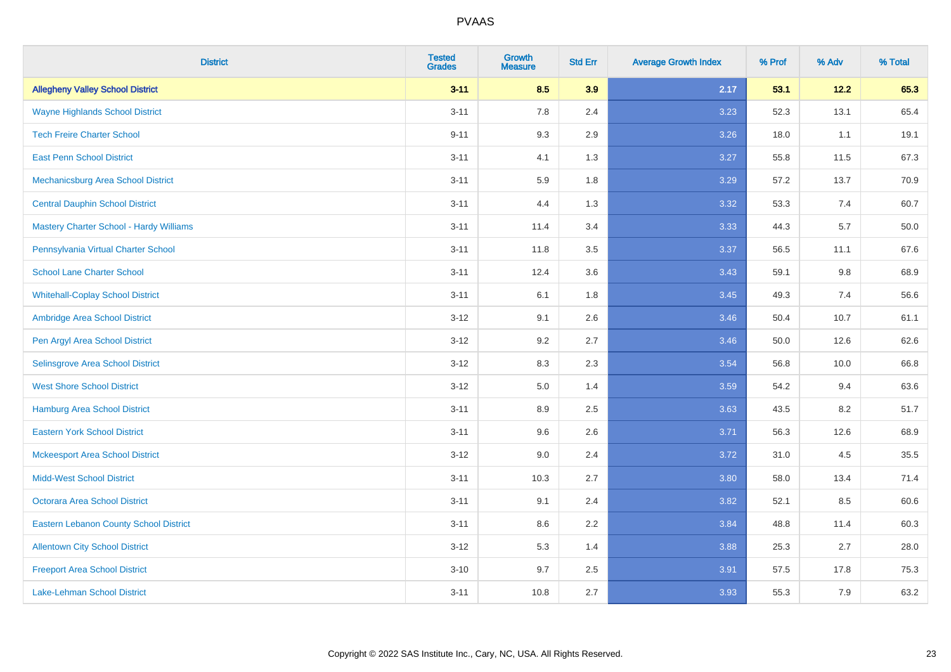| <b>District</b>                                | <b>Tested</b><br><b>Grades</b> | <b>Growth</b><br><b>Measure</b> | <b>Std Err</b> | <b>Average Growth Index</b> | % Prof | % Adv | % Total |
|------------------------------------------------|--------------------------------|---------------------------------|----------------|-----------------------------|--------|-------|---------|
| <b>Allegheny Valley School District</b>        | $3 - 11$                       | 8.5                             | 3.9            | 2.17                        | 53.1   | 12.2  | 65.3    |
| <b>Wayne Highlands School District</b>         | $3 - 11$                       | 7.8                             | 2.4            | 3.23                        | 52.3   | 13.1  | 65.4    |
| <b>Tech Freire Charter School</b>              | $9 - 11$                       | 9.3                             | 2.9            | 3.26                        | 18.0   | 1.1   | 19.1    |
| <b>East Penn School District</b>               | $3 - 11$                       | 4.1                             | 1.3            | 3.27                        | 55.8   | 11.5  | 67.3    |
| Mechanicsburg Area School District             | $3 - 11$                       | 5.9                             | 1.8            | 3.29                        | 57.2   | 13.7  | 70.9    |
| <b>Central Dauphin School District</b>         | $3 - 11$                       | 4.4                             | 1.3            | 3.32                        | 53.3   | 7.4   | 60.7    |
| <b>Mastery Charter School - Hardy Williams</b> | $3 - 11$                       | 11.4                            | 3.4            | 3.33                        | 44.3   | 5.7   | 50.0    |
| Pennsylvania Virtual Charter School            | $3 - 11$                       | 11.8                            | 3.5            | 3.37                        | 56.5   | 11.1  | 67.6    |
| <b>School Lane Charter School</b>              | $3 - 11$                       | 12.4                            | 3.6            | 3.43                        | 59.1   | 9.8   | 68.9    |
| <b>Whitehall-Coplay School District</b>        | $3 - 11$                       | 6.1                             | 1.8            | 3.45                        | 49.3   | 7.4   | 56.6    |
| Ambridge Area School District                  | $3 - 12$                       | 9.1                             | 2.6            | 3.46                        | 50.4   | 10.7  | 61.1    |
| Pen Argyl Area School District                 | $3 - 12$                       | 9.2                             | 2.7            | 3.46                        | 50.0   | 12.6  | 62.6    |
| Selinsgrove Area School District               | $3 - 12$                       | 8.3                             | 2.3            | 3.54                        | 56.8   | 10.0  | 66.8    |
| <b>West Shore School District</b>              | $3-12$                         | $5.0\,$                         | 1.4            | 3.59                        | 54.2   | 9.4   | 63.6    |
| Hamburg Area School District                   | $3 - 11$                       | 8.9                             | 2.5            | 3.63                        | 43.5   | 8.2   | 51.7    |
| <b>Eastern York School District</b>            | $3 - 11$                       | 9.6                             | 2.6            | 3.71                        | 56.3   | 12.6  | 68.9    |
| <b>Mckeesport Area School District</b>         | $3-12$                         | 9.0                             | 2.4            | 3.72                        | 31.0   | 4.5   | 35.5    |
| <b>Midd-West School District</b>               | $3 - 11$                       | 10.3                            | 2.7            | 3.80                        | 58.0   | 13.4  | 71.4    |
| <b>Octorara Area School District</b>           | $3 - 11$                       | 9.1                             | 2.4            | 3.82                        | 52.1   | 8.5   | 60.6    |
| <b>Eastern Lebanon County School District</b>  | $3 - 11$                       | 8.6                             | 2.2            | 3.84                        | 48.8   | 11.4  | 60.3    |
| <b>Allentown City School District</b>          | $3-12$                         | 5.3                             | 1.4            | 3.88                        | 25.3   | 2.7   | 28.0    |
| <b>Freeport Area School District</b>           | $3 - 10$                       | 9.7                             | 2.5            | 3.91                        | 57.5   | 17.8  | 75.3    |
| Lake-Lehman School District                    | $3 - 11$                       | 10.8                            | 2.7            | 3.93                        | 55.3   | 7.9   | 63.2    |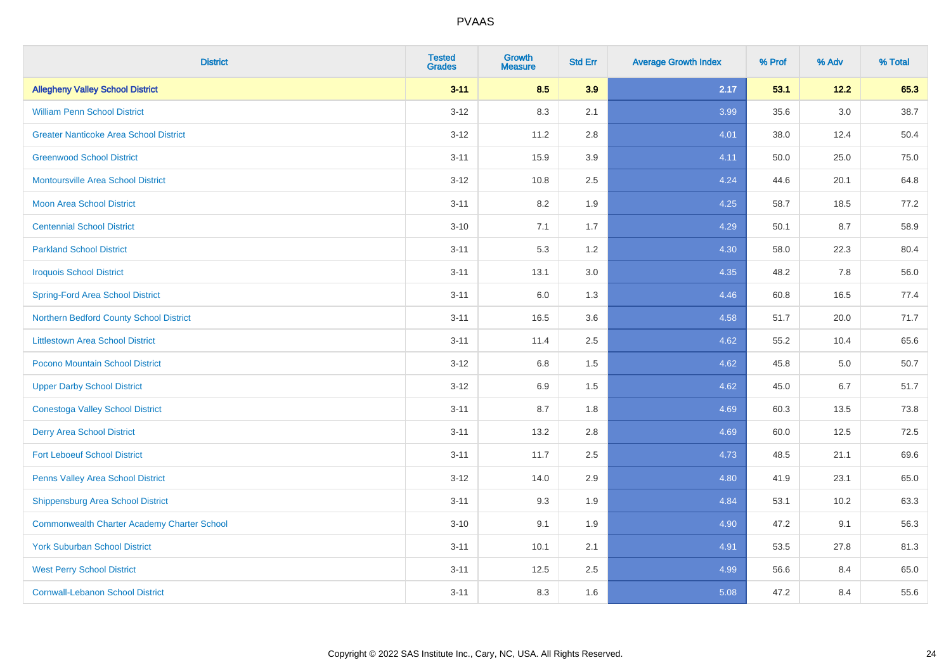| <b>District</b>                                    | <b>Tested</b><br><b>Grades</b> | <b>Growth</b><br><b>Measure</b> | <b>Std Err</b> | <b>Average Growth Index</b> | % Prof | % Adv   | % Total |
|----------------------------------------------------|--------------------------------|---------------------------------|----------------|-----------------------------|--------|---------|---------|
| <b>Allegheny Valley School District</b>            | $3 - 11$                       | 8.5                             | 3.9            | 2.17                        | 53.1   | 12.2    | 65.3    |
| <b>William Penn School District</b>                | $3 - 12$                       | 8.3                             | 2.1            | 3.99                        | 35.6   | $3.0\,$ | 38.7    |
| <b>Greater Nanticoke Area School District</b>      | $3 - 12$                       | 11.2                            | 2.8            | 4.01                        | 38.0   | 12.4    | 50.4    |
| <b>Greenwood School District</b>                   | $3 - 11$                       | 15.9                            | 3.9            | 4.11                        | 50.0   | 25.0    | 75.0    |
| <b>Montoursville Area School District</b>          | $3 - 12$                       | 10.8                            | 2.5            | 4.24                        | 44.6   | 20.1    | 64.8    |
| Moon Area School District                          | $3 - 11$                       | 8.2                             | 1.9            | 4.25                        | 58.7   | 18.5    | 77.2    |
| <b>Centennial School District</b>                  | $3 - 10$                       | 7.1                             | 1.7            | 4.29                        | 50.1   | 8.7     | 58.9    |
| <b>Parkland School District</b>                    | $3 - 11$                       | 5.3                             | 1.2            | 4.30                        | 58.0   | 22.3    | 80.4    |
| <b>Iroquois School District</b>                    | $3 - 11$                       | 13.1                            | 3.0            | 4.35                        | 48.2   | 7.8     | 56.0    |
| <b>Spring-Ford Area School District</b>            | $3 - 11$                       | 6.0                             | 1.3            | 4.46                        | 60.8   | 16.5    | 77.4    |
| Northern Bedford County School District            | $3 - 11$                       | 16.5                            | 3.6            | 4.58                        | 51.7   | 20.0    | 71.7    |
| <b>Littlestown Area School District</b>            | $3 - 11$                       | 11.4                            | 2.5            | 4.62                        | 55.2   | 10.4    | 65.6    |
| Pocono Mountain School District                    | $3 - 12$                       | 6.8                             | 1.5            | 4.62                        | 45.8   | $5.0\,$ | 50.7    |
| <b>Upper Darby School District</b>                 | $3-12$                         | 6.9                             | 1.5            | 4.62                        | 45.0   | 6.7     | 51.7    |
| <b>Conestoga Valley School District</b>            | $3 - 11$                       | 8.7                             | 1.8            | 4.69                        | 60.3   | 13.5    | 73.8    |
| <b>Derry Area School District</b>                  | $3 - 11$                       | 13.2                            | 2.8            | 4.69                        | 60.0   | 12.5    | 72.5    |
| <b>Fort Leboeuf School District</b>                | $3 - 11$                       | 11.7                            | 2.5            | 4.73                        | 48.5   | 21.1    | 69.6    |
| Penns Valley Area School District                  | $3 - 12$                       | 14.0                            | 2.9            | 4.80                        | 41.9   | 23.1    | 65.0    |
| <b>Shippensburg Area School District</b>           | $3 - 11$                       | 9.3                             | 1.9            | 4.84                        | 53.1   | 10.2    | 63.3    |
| <b>Commonwealth Charter Academy Charter School</b> | $3 - 10$                       | 9.1                             | 1.9            | 4.90                        | 47.2   | 9.1     | 56.3    |
| <b>York Suburban School District</b>               | $3 - 11$                       | 10.1                            | 2.1            | 4.91                        | 53.5   | 27.8    | 81.3    |
| <b>West Perry School District</b>                  | $3 - 11$                       | 12.5                            | 2.5            | 4.99                        | 56.6   | 8.4     | 65.0    |
| <b>Cornwall-Lebanon School District</b>            | $3 - 11$                       | 8.3                             | 1.6            | 5.08                        | 47.2   | 8.4     | 55.6    |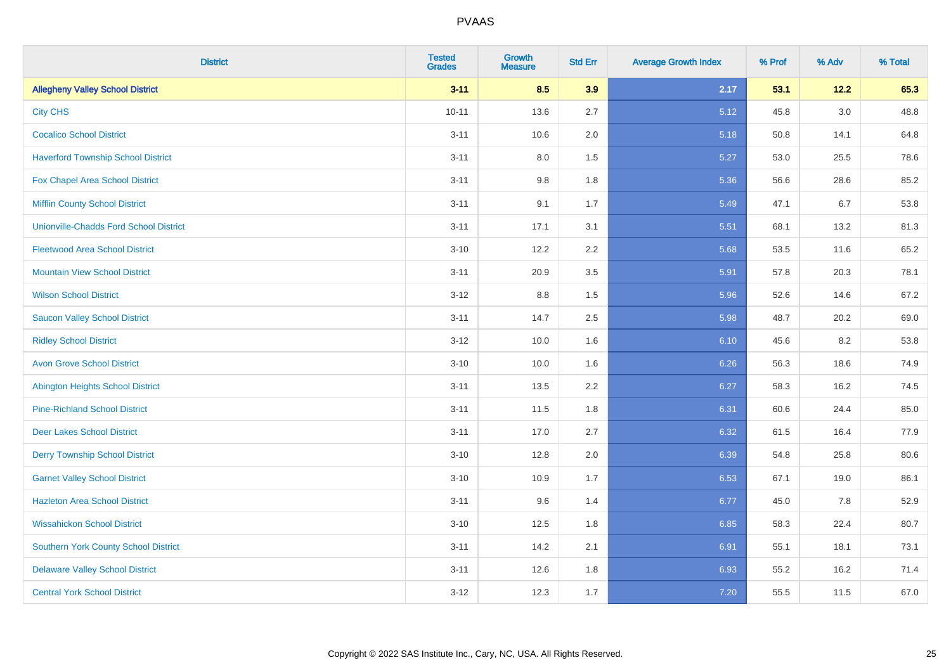| <b>District</b>                               | <b>Tested</b><br><b>Grades</b> | <b>Growth</b><br><b>Measure</b> | <b>Std Err</b> | <b>Average Growth Index</b> | % Prof | % Adv   | % Total |
|-----------------------------------------------|--------------------------------|---------------------------------|----------------|-----------------------------|--------|---------|---------|
| <b>Allegheny Valley School District</b>       | $3 - 11$                       | 8.5                             | 3.9            | 2.17                        | 53.1   | $12.2$  | 65.3    |
| <b>City CHS</b>                               | $10 - 11$                      | 13.6                            | 2.7            | 5.12                        | 45.8   | $3.0\,$ | 48.8    |
| <b>Cocalico School District</b>               | $3 - 11$                       | 10.6                            | 2.0            | 5.18                        | 50.8   | 14.1    | 64.8    |
| <b>Haverford Township School District</b>     | $3 - 11$                       | $8.0\,$                         | 1.5            | 5.27                        | 53.0   | 25.5    | 78.6    |
| Fox Chapel Area School District               | $3 - 11$                       | 9.8                             | 1.8            | 5.36                        | 56.6   | 28.6    | 85.2    |
| <b>Mifflin County School District</b>         | $3 - 11$                       | 9.1                             | 1.7            | 5.49                        | 47.1   | 6.7     | 53.8    |
| <b>Unionville-Chadds Ford School District</b> | $3 - 11$                       | 17.1                            | 3.1            | 5.51                        | 68.1   | 13.2    | 81.3    |
| <b>Fleetwood Area School District</b>         | $3 - 10$                       | 12.2                            | 2.2            | 5.68                        | 53.5   | 11.6    | 65.2    |
| <b>Mountain View School District</b>          | $3 - 11$                       | 20.9                            | 3.5            | 5.91                        | 57.8   | 20.3    | 78.1    |
| <b>Wilson School District</b>                 | $3 - 12$                       | 8.8                             | 1.5            | 5.96                        | 52.6   | 14.6    | 67.2    |
| <b>Saucon Valley School District</b>          | $3 - 11$                       | 14.7                            | 2.5            | 5.98                        | 48.7   | 20.2    | 69.0    |
| <b>Ridley School District</b>                 | $3 - 12$                       | 10.0                            | 1.6            | 6.10                        | 45.6   | 8.2     | 53.8    |
| <b>Avon Grove School District</b>             | $3 - 10$                       | 10.0                            | 1.6            | 6.26                        | 56.3   | 18.6    | 74.9    |
| <b>Abington Heights School District</b>       | $3 - 11$                       | 13.5                            | 2.2            | 6.27                        | 58.3   | 16.2    | 74.5    |
| <b>Pine-Richland School District</b>          | $3 - 11$                       | 11.5                            | 1.8            | 6.31                        | 60.6   | 24.4    | 85.0    |
| <b>Deer Lakes School District</b>             | $3 - 11$                       | 17.0                            | 2.7            | 6.32                        | 61.5   | 16.4    | 77.9    |
| <b>Derry Township School District</b>         | $3 - 10$                       | 12.8                            | 2.0            | 6.39                        | 54.8   | 25.8    | 80.6    |
| <b>Garnet Valley School District</b>          | $3 - 10$                       | 10.9                            | 1.7            | 6.53                        | 67.1   | 19.0    | 86.1    |
| <b>Hazleton Area School District</b>          | $3 - 11$                       | 9.6                             | 1.4            | 6.77                        | 45.0   | 7.8     | 52.9    |
| <b>Wissahickon School District</b>            | $3 - 10$                       | 12.5                            | 1.8            | 6.85                        | 58.3   | 22.4    | 80.7    |
| <b>Southern York County School District</b>   | $3 - 11$                       | 14.2                            | 2.1            | 6.91                        | 55.1   | 18.1    | 73.1    |
| <b>Delaware Valley School District</b>        | $3 - 11$                       | 12.6                            | 1.8            | 6.93                        | 55.2   | 16.2    | 71.4    |
| <b>Central York School District</b>           | $3-12$                         | 12.3                            | 1.7            | 7.20                        | 55.5   | 11.5    | 67.0    |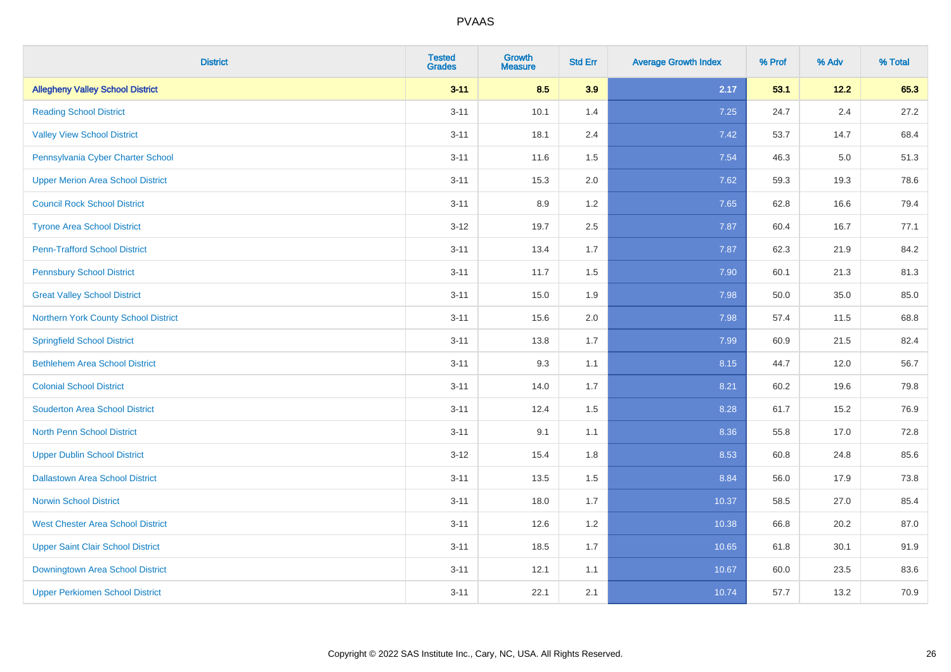| <b>District</b>                          | <b>Tested</b><br><b>Grades</b> | <b>Growth</b><br><b>Measure</b> | <b>Std Err</b> | <b>Average Growth Index</b> | % Prof | % Adv   | % Total |
|------------------------------------------|--------------------------------|---------------------------------|----------------|-----------------------------|--------|---------|---------|
| <b>Allegheny Valley School District</b>  | $3 - 11$                       | 8.5                             | 3.9            | 2.17                        | 53.1   | 12.2    | 65.3    |
| <b>Reading School District</b>           | $3 - 11$                       | 10.1                            | 1.4            | 7.25                        | 24.7   | $2.4\,$ | 27.2    |
| <b>Valley View School District</b>       | $3 - 11$                       | 18.1                            | 2.4            | 7.42                        | 53.7   | 14.7    | 68.4    |
| Pennsylvania Cyber Charter School        | $3 - 11$                       | 11.6                            | 1.5            | 7.54                        | 46.3   | 5.0     | 51.3    |
| <b>Upper Merion Area School District</b> | $3 - 11$                       | 15.3                            | 2.0            | 7.62                        | 59.3   | 19.3    | 78.6    |
| <b>Council Rock School District</b>      | $3 - 11$                       | 8.9                             | 1.2            | 7.65                        | 62.8   | 16.6    | 79.4    |
| <b>Tyrone Area School District</b>       | $3-12$                         | 19.7                            | 2.5            | 7.87                        | 60.4   | 16.7    | 77.1    |
| <b>Penn-Trafford School District</b>     | $3 - 11$                       | 13.4                            | 1.7            | 7.87                        | 62.3   | 21.9    | 84.2    |
| <b>Pennsbury School District</b>         | $3 - 11$                       | 11.7                            | 1.5            | 7.90                        | 60.1   | 21.3    | 81.3    |
| <b>Great Valley School District</b>      | $3 - 11$                       | 15.0                            | 1.9            | 7.98                        | 50.0   | 35.0    | 85.0    |
| Northern York County School District     | $3 - 11$                       | 15.6                            | 2.0            | 7.98                        | 57.4   | 11.5    | 68.8    |
| <b>Springfield School District</b>       | $3 - 11$                       | 13.8                            | 1.7            | 7.99                        | 60.9   | 21.5    | 82.4    |
| <b>Bethlehem Area School District</b>    | $3 - 11$                       | 9.3                             | 1.1            | 8.15                        | 44.7   | 12.0    | 56.7    |
| <b>Colonial School District</b>          | $3 - 11$                       | 14.0                            | 1.7            | 8.21                        | 60.2   | 19.6    | 79.8    |
| <b>Souderton Area School District</b>    | $3 - 11$                       | 12.4                            | 1.5            | 8.28                        | 61.7   | 15.2    | 76.9    |
| <b>North Penn School District</b>        | $3 - 11$                       | 9.1                             | 1.1            | 8.36                        | 55.8   | 17.0    | 72.8    |
| <b>Upper Dublin School District</b>      | $3-12$                         | 15.4                            | 1.8            | 8.53                        | 60.8   | 24.8    | 85.6    |
| <b>Dallastown Area School District</b>   | $3 - 11$                       | 13.5                            | 1.5            | 8.84                        | 56.0   | 17.9    | 73.8    |
| <b>Norwin School District</b>            | $3 - 11$                       | 18.0                            | 1.7            | 10.37                       | 58.5   | 27.0    | 85.4    |
| <b>West Chester Area School District</b> | $3 - 11$                       | 12.6                            | 1.2            | 10.38                       | 66.8   | 20.2    | 87.0    |
| <b>Upper Saint Clair School District</b> | $3 - 11$                       | 18.5                            | 1.7            | 10.65                       | 61.8   | 30.1    | 91.9    |
| Downingtown Area School District         | $3 - 11$                       | 12.1                            | 1.1            | 10.67                       | 60.0   | 23.5    | 83.6    |
| <b>Upper Perkiomen School District</b>   | $3 - 11$                       | 22.1                            | 2.1            | 10.74                       | 57.7   | 13.2    | 70.9    |